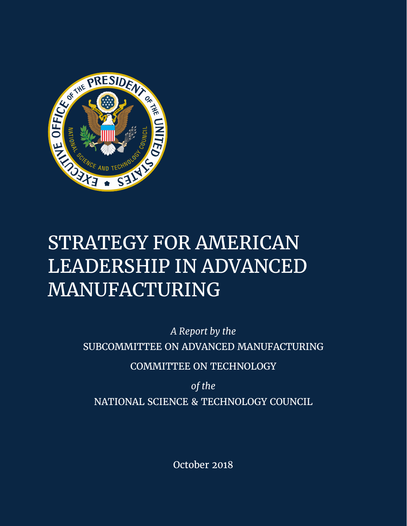

# STRATEGY FOR AMERICAN LEADERSHIP IN ADVANCED MANUFACTURING

*A Report by the*  SUBCOMMITTEE ON ADVANCED MANUFACTURING

COMMITTEE ON TECHNOLOGY

*of the*  NATIONAL SCIENCE & TECHNOLOGY COUNCIL

October 2018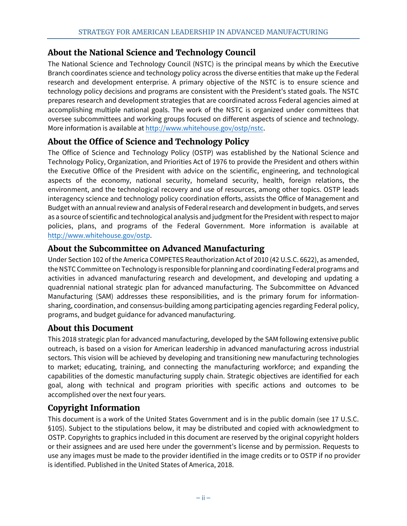# **About the National Science and Technology Council**

The National Science and Technology Council (NSTC) is the principal means by which the Executive Branch coordinates science and technology policy across the diverse entities that make up the Federal research and development enterprise. A primary objective of the NSTC is to ensure science and technology policy decisions and programs are consistent with the President's stated goals. The NSTC prepares research and development strategies that are coordinated across Federal agencies aimed at accomplishing multiple national goals. The work of the NSTC is organized under committees that oversee subcommittees and working groups focused on different aspects of science and technology. More information is available at [http://www.whitehouse.gov/ostp/nstc.](http://www.whitehouse.gov/ostp/nstc) 

# **About the Office of Science and Technology Policy**

The Office of Science and Technology Policy (OSTP) was established by the National Science and Technology Policy, Organization, and Priorities Act of 1976 to provide the President and others within the Executive Office of the President with advice on the scientific, engineering, and technological aspects of the economy, national security, homeland security, health, foreign relations, the environment, and the technological recovery and use of resources, among other topics. OSTP leads interagency science and technology policy coordination efforts, assists the Office of Management and Budget with an annual review and analysis of Federal research and development in budgets, and serves as a source of scientific and technological analysis and judgmentforthe President with respectto major policies, plans, and programs of the Federal Government. More information is available at [http://www.whitehouse.gov/ostp.](http://www.whitehouse.gov/ostp)

# **About the Subcommittee on Advanced Manufacturing**

Under Section 102 of the America COMPETES Reauthorization Act of 2010 (42 U.S.C. 6622), as amended, the NSTC Committee on Technology is responsible for planning and coordinating Federal programs and activities in advanced manufacturing research and development, and developing and updating a quadrennial national strategic plan for advanced manufacturing. The Subcommittee on Advanced Manufacturing (SAM) addresses these responsibilities, and is the primary forum for informationsharing, coordination, and consensus-building among participating agencies regarding Federal policy, programs, and budget guidance for advanced manufacturing.

# **About this Document**

This 2018 strategic plan for advanced manufacturing, developed by the SAM following extensive public outreach, is based on a vision for American leadership in advanced manufacturing across industrial sectors. This vision will be achieved by developing and transitioning new manufacturing technologies to market; educating, training, and connecting the manufacturing workforce; and expanding the capabilities of the domestic manufacturing supply chain. Strategic objectives are identified for each goal, along with technical and program priorities with specific actions and outcomes to be accomplished over the next four years.

# **Copyright Information**

This document is a work of the United States Government and is in the public domain (see 17 U.S.C. §105). Subject to the stipulations below, it may be distributed and copied with acknowledgment to OSTP. Copyrights to graphics included in this document are reserved by the original copyright holders or their assignees and are used here under the government's license and by permission. Requests to use any images must be made to the provider identified in the image credits or to OSTP if no provider is identified. Published in the United States of America, 2018.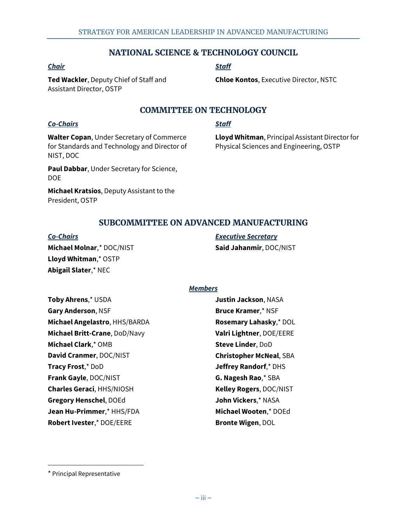#### **COMMITTEE ON TECHNOLOGY**

#### *Co-Chairs*

*Chair*

**Walter Copan**, Under Secretary of Commerce for Standards and Technology and Director of NIST, DOC

**Ted Wackler**, Deputy Chief of Staff and

**Paul Dabbar**, Under Secretary for Science, DOE

**Michael Kratsios**, Deputy Assistant to the President, OSTP

#### *Staff*

**Lloyd Whitman**, Principal Assistant Director for Physical Sciences and Engineering, OSTP

**Chloe Kontos**, Executive Director, NSTC

#### **SUBCOMMITTEE ON ADVANCED MANUFACTURING**

#### *Co-Chairs*

**Michael Molnar**,[\\*](#page-2-0) DOC/NIST **Lloyd Whitman**,\* OSTP **Abigail Slater**,\* NEC

*Executive Secretary* **Said Jahanmir**, DOC/NIST

#### *Members*

**Toby Ahrens**,\* USDA **Gary Anderson**, NSF **Michael Angelastro**, HHS/BARDA **Michael Britt-Crane**, DoD/Navy **Michael Clark**,\* OMB **David Cranmer**, DOC/NIST **Tracy Frost**,\* DoD **Frank Gayle**, DOC/NIST **Charles Geraci**, HHS/NIOSH **Gregory Henschel**, DOEd **Jean Hu-Primmer**,\* HHS/FDA **Robert Ivester**,\* DOE/EERE

**Justin Jackson**, NASA **Bruce Kramer**,\* NSF **Rosemary Lahasky**,\* DOL **Valri Lightner**, DOE/EERE **Steve Linder**, DoD **Christopher McNeal**, SBA **Jeffrey Randorf**,\* DHS **G. Nagesh Rao**,\* SBA **Kelley Rogers**, DOC/NIST **John Vickers**,\* NASA **Michael Wooten**,\* DOEd **Bronte Wigen**, DOL

 $\overline{a}$ 

#### STRATEGY FOR AMERICAN LEADERSHIP IN ADVANCED MANUFACTURING

**NATIONAL SCIENCE & TECHNOLOGY COUNCIL**

Assistant Director, OSTP

*Staff*

<span id="page-2-0"></span><sup>\*</sup> Principal Representative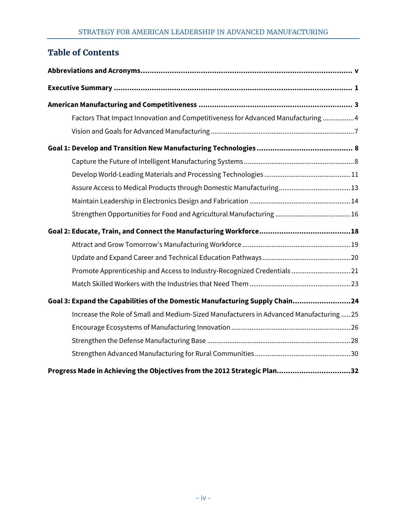# **Table of Contents**

| Factors That Impact Innovation and Competitiveness for Advanced Manufacturing  4        |
|-----------------------------------------------------------------------------------------|
|                                                                                         |
|                                                                                         |
|                                                                                         |
|                                                                                         |
|                                                                                         |
|                                                                                         |
|                                                                                         |
|                                                                                         |
|                                                                                         |
|                                                                                         |
| Promote Apprenticeship and Access to Industry-Recognized Credentials 21                 |
|                                                                                         |
| Goal 3: Expand the Capabilities of the Domestic Manufacturing Supply Chain24            |
| Increase the Role of Small and Medium-Sized Manufacturers in Advanced Manufacturing  25 |
|                                                                                         |
|                                                                                         |
|                                                                                         |
| Progress Made in Achieving the Objectives from the 2012 Strategic Plan32                |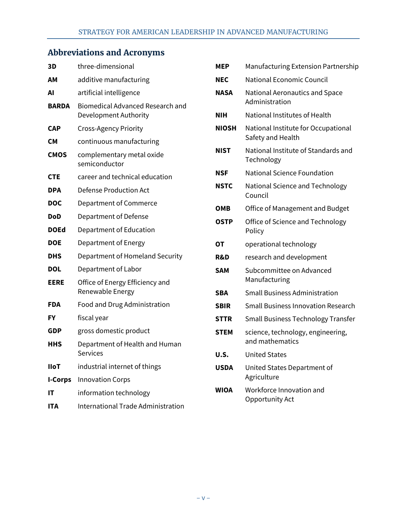# <span id="page-4-0"></span>**Abbreviations and Acronyms**

| 3D             | three-dimensional                          | <b>MEP</b>     | Manufacturing Extension Partnership               |  |  |  |  |
|----------------|--------------------------------------------|----------------|---------------------------------------------------|--|--|--|--|
| ΑМ             | additive manufacturing                     | <b>NEC</b>     | <b>National Economic Council</b>                  |  |  |  |  |
| AI             | artificial intelligence                    | NASA           | National Aeronautics and Space                    |  |  |  |  |
| <b>BARDA</b>   | <b>Biomedical Advanced Research and</b>    |                | Administration                                    |  |  |  |  |
|                | Development Authority                      | <b>NIH</b>     | National Institutes of Health                     |  |  |  |  |
| <b>CAP</b>     | <b>Cross-Agency Priority</b>               | <b>NIOSH</b>   | National Institute for Occupational               |  |  |  |  |
| <b>CM</b>      | continuous manufacturing                   |                | Safety and Health                                 |  |  |  |  |
| <b>CMOS</b>    | complementary metal oxide<br>semiconductor | <b>NIST</b>    | National Institute of Standards and<br>Technology |  |  |  |  |
| <b>CTE</b>     | career and technical education             | <b>NSF</b>     | <b>National Science Foundation</b>                |  |  |  |  |
| <b>DPA</b>     | <b>Defense Production Act</b>              | <b>NSTC</b>    | National Science and Technology<br>Council        |  |  |  |  |
| <b>DOC</b>     | Department of Commerce                     | <b>OMB</b>     | Office of Management and Budget                   |  |  |  |  |
| <b>DoD</b>     | Department of Defense                      | <b>OSTP</b>    | Office of Science and Technology                  |  |  |  |  |
| <b>DOEd</b>    | Department of Education                    |                | Policy                                            |  |  |  |  |
| <b>DOE</b>     | Department of Energy                       | <b>OT</b>      | operational technology                            |  |  |  |  |
| <b>DHS</b>     | Department of Homeland Security            | <b>R&amp;D</b> | research and development                          |  |  |  |  |
| <b>DOL</b>     | Department of Labor                        | <b>SAM</b>     | Subcommittee on Advanced                          |  |  |  |  |
| <b>EERE</b>    | Office of Energy Efficiency and            |                | Manufacturing                                     |  |  |  |  |
|                | Renewable Energy                           | <b>SBA</b>     | <b>Small Business Administration</b>              |  |  |  |  |
| <b>FDA</b>     | Food and Drug Administration               | <b>SBIR</b>    | <b>Small Business Innovation Research</b>         |  |  |  |  |
| <b>FY</b>      | fiscal year                                | <b>STTR</b>    | <b>Small Business Technology Transfer</b>         |  |  |  |  |
| <b>GDP</b>     | gross domestic product                     | <b>STEM</b>    | science, technology, engineering,                 |  |  |  |  |
| <b>HHS</b>     | Department of Health and Human             |                | and mathematics                                   |  |  |  |  |
|                | <b>Services</b>                            | U.S.           | <b>United States</b>                              |  |  |  |  |
| <b>IIoT</b>    | industrial internet of things              | <b>USDA</b>    | United States Department of                       |  |  |  |  |
| <b>I-Corps</b> | <b>Innovation Corps</b>                    |                | Agriculture                                       |  |  |  |  |
| ΙT             | information technology                     | <b>WIOA</b>    | Workforce Innovation and<br>Opportunity Act       |  |  |  |  |
| <b>ITA</b>     | International Trade Administration         |                |                                                   |  |  |  |  |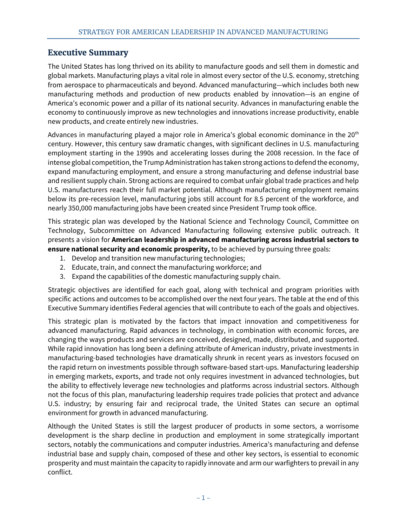# <span id="page-5-0"></span>**Executive Summary**

The United States has long thrived on its ability to manufacture goods and sell them in domestic and global markets. Manufacturing plays a vital role in almost every sector of the U.S. economy, stretching from aerospace to pharmaceuticals and beyond. Advanced manufacturing—which includes both new manufacturing methods and production of new products enabled by innovation—is an engine of America's economic power and a pillar of its national security. Advances in manufacturing enable the economy to continuously improve as new technologies and innovations increase productivity, enable new products, and create entirely new industries.

Advances in manufacturing played a major role in America's global economic dominance in the 20<sup>th</sup> century. However, this century saw dramatic changes, with significant declines in U.S. manufacturing employment starting in the 1990s and accelerating losses during the 2008 recession. In the face of intense global competition, the Trump Administration has taken strong actions to defend the economy, expand manufacturing employment, and ensure a strong manufacturing and defense industrial base and resilient supply chain. Strong actions are required to combat unfair global trade practices and help U.S. manufacturers reach their full market potential. Although manufacturing employment remains below its pre-recession level, manufacturing jobs still account for 8.5 percent of the workforce, and nearly 350,000 manufacturing jobs have been created since President Trump took office.

This strategic plan was developed by the National Science and Technology Council, Committee on Technology, Subcommittee on Advanced Manufacturing following extensive public outreach. It presents a vision for **American leadership in advanced manufacturing across industrial sectors to ensure national security and economic prosperity,** to be achieved by pursuing three goals:

- 1. Develop and transition new manufacturing technologies;
- 2. Educate, train, and connect the manufacturing workforce; and
- 3. Expand the capabilities of the domestic manufacturing supply chain.

Strategic objectives are identified for each goal, along with technical and program priorities with specific actions and outcomes to be accomplished over the next four years. The table at the end of this Executive Summary identifies Federal agencies that will contribute to each of the goals and objectives.

This strategic plan is motivated by the factors that impact innovation and competitiveness for advanced manufacturing. Rapid advances in technology, in combination with economic forces, are changing the ways products and services are conceived, designed, made, distributed, and supported. While rapid innovation has long been a defining attribute of American industry, private investments in manufacturing-based technologies have dramatically shrunk in recent years as investors focused on the rapid return on investments possible through software-based start-ups. Manufacturing leadership in emerging markets, exports, and trade not only requires investment in advanced technologies, but the ability to effectively leverage new technologies and platforms across industrial sectors. Although not the focus of this plan, manufacturing leadership requires trade policies that protect and advance U.S. industry; by ensuring fair and reciprocal trade, the United States can secure an optimal environment for growth in advanced manufacturing.

Although the United States is still the largest producer of products in some sectors, a worrisome development is the sharp decline in production and employment in some strategically important sectors, notably the communications and computer industries. America's manufacturing and defense industrial base and supply chain, composed of these and other key sectors, is essential to economic prosperity and must maintain the capacity to rapidly innovate and arm our warfighters to prevail in any conflict.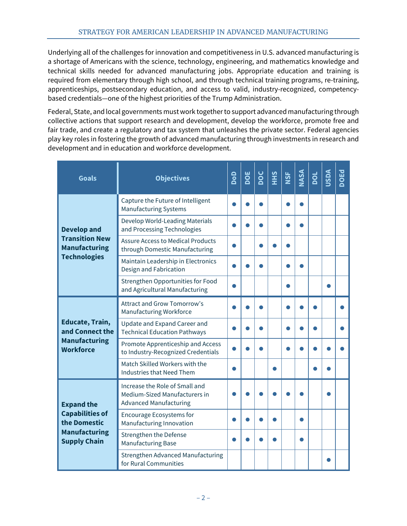Underlying all of the challenges for innovation and competitiveness in U.S. advanced manufacturing is a shortage of Americans with the science, technology, engineering, and mathematics knowledge and technical skills needed for advanced manufacturing jobs. Appropriate education and training is required from elementary through high school, and through technical training programs, re-training, apprenticeships, postsecondary education, and access to valid, industry-recognized, competencybased credentials—one of the highest priorities of the Trump Administration.

Federal, State, and local governments must work togetherto support advanced manufacturing through collective actions that support research and development, develop the workforce, promote free and fair trade, and create a regulatory and tax system that unleashes the private sector. Federal agencies play key roles in fostering the growth of advanced manufacturing through investments in research and development and in education and workforce development.

| <b>Goals</b>                                  | <b>Objectives</b>                                                                                       | OoD | ш<br>ā | DOC | <b>SHIH</b> | NSF | NASA | DOL | USDA | <b>DOEd</b> |
|-----------------------------------------------|---------------------------------------------------------------------------------------------------------|-----|--------|-----|-------------|-----|------|-----|------|-------------|
|                                               | Capture the Future of Intelligent<br><b>Manufacturing Systems</b>                                       |     |        |     |             |     |      |     |      |             |
| <b>Develop and</b>                            | Develop World-Leading Materials<br>and Processing Technologies                                          |     |        |     |             |     |      |     |      |             |
| <b>Transition New</b><br><b>Manufacturing</b> | <b>Assure Access to Medical Products</b><br>through Domestic Manufacturing                              |     |        |     |             |     |      |     |      |             |
| <b>Technologies</b>                           | Maintain Leadership in Electronics<br>Design and Fabrication                                            |     |        |     |             |     |      |     |      |             |
|                                               | Strengthen Opportunities for Food<br>and Agricultural Manufacturing                                     |     |        |     |             |     |      |     |      |             |
|                                               | <b>Attract and Grow Tomorrow's</b><br>Manufacturing Workforce                                           |     |        |     |             |     |      |     |      |             |
| <b>Educate, Train,</b><br>and Connect the     | Update and Expand Career and<br><b>Technical Education Pathways</b>                                     |     |        |     |             |     |      |     |      |             |
| <b>Manufacturing</b><br><b>Workforce</b>      | Promote Apprenticeship and Access<br>to Industry-Recognized Credentials                                 |     |        |     |             |     |      |     |      |             |
|                                               | Match Skilled Workers with the<br><b>Industries that Need Them</b>                                      |     |        |     |             |     |      |     |      |             |
| <b>Expand the</b>                             | Increase the Role of Small and<br><b>Medium-Sized Manufacturers in</b><br><b>Advanced Manufacturing</b> |     |        |     |             |     |      |     |      |             |
| <b>Capabilities of</b><br>the Domestic        | <b>Encourage Ecosystems for</b><br>Manufacturing Innovation                                             |     |        |     |             |     |      |     |      |             |
| <b>Manufacturing</b><br><b>Supply Chain</b>   | <b>Strengthen the Defense</b><br><b>Manufacturing Base</b>                                              |     |        |     |             |     |      |     |      |             |
|                                               | <b>Strengthen Advanced Manufacturing</b><br>for Rural Communities                                       |     |        |     |             |     |      |     |      |             |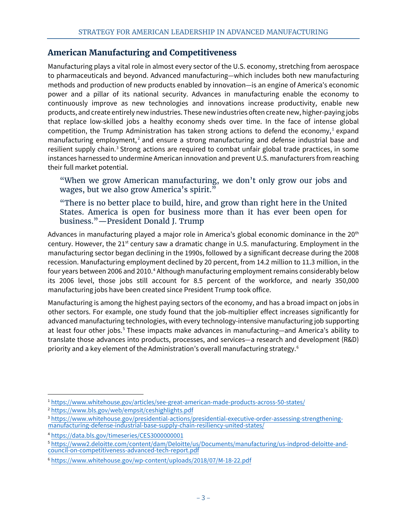# <span id="page-7-0"></span>**American Manufacturing and Competitiveness**

Manufacturing plays a vital role in almost every sector of the U.S. economy, stretching from aerospace to pharmaceuticals and beyond. Advanced manufacturing—which includes both new manufacturing methods and production of new products enabled by innovation—is an engine of America's economic power and a pillar of its national security. Advances in manufacturing enable the economy to continuously improve as new technologies and innovations increase productivity, enable new products, and create entirely new industries. These new industries often create new, higher-paying jobs that replace low-skilled jobs a healthy economy sheds over time. In the face of intense global competition, the Trump Administration has taken strong actions to defend the economy,<sup>[1](#page-7-1)</sup> expand manufacturing employment,<sup>[2](#page-7-2)</sup> and ensure a strong manufacturing and defense industrial base and resilient supply chain.<sup>[3](#page-7-3)</sup> Strong actions are required to combat unfair global trade practices, in some instances harnessed to undermine American innovation and prevent U.S. manufacturers from reaching their full market potential.

"When we grow American manufacturing, we don't only grow our jobs and wages, but we also grow America's spirit."

"There is no better place to build, hire, and grow than right here in the United States. America is open for business more than it has ever been open for business."—President Donald J. Trump

Advances in manufacturing played a major role in America's global economic dominance in the  $20<sup>th</sup>$ century. However, the 21<sup>st</sup> century saw a dramatic change in U.S. manufacturing. Employment in the manufacturing sector began declining in the 1990s, followed by a significant decrease during the 2008 recession. Manufacturing employment declined by 20 percent, from 14.2 million to 11.3 million, in the four years between 2006 and 2010.<sup>[4](#page-7-4)</sup> Although manufacturing employment remains considerably below its 2006 level, those jobs still account for 8.5 percent of the workforce, and nearly 350,000 manufacturing jobs have been created since President Trump took office.

Manufacturing is among the highest paying sectors of the economy, and has a broad impact on jobs in other sectors. For example, one study found that the job-multiplier effect increases significantly for advanced manufacturing technologies, with every technology-intensive manufacturing job supporting at least four other jobs.<sup>[5](#page-7-5)</sup> These impacts make advances in manufacturing—and America's ability to translate those advances into products, processes, and services—a research and development (R&D) priority and a key element of the Administration's overall manufacturing strategy.<sup>[6](#page-7-6)</sup>

<span id="page-7-1"></span><sup>1</sup> <https://www.whitehouse.gov/articles/see-great-american-made-products-across-50-states/>

<span id="page-7-2"></span><sup>2</sup> <https://www.bls.gov/web/empsit/ceshighlights.pdf>

<span id="page-7-3"></span><sup>3</sup> [https://www.whitehouse.gov/presidential-actions/presidential-executive-order-assessing-strengthening](https://www.whitehouse.gov/presidential-actions/presidential-executive-order-assessing-strengthening-manufacturing-defense-industrial-base-supply-chain-resiliency-united-states/)[manufacturing-defense-industrial-base-supply-chain-resiliency-united-states/](https://www.whitehouse.gov/presidential-actions/presidential-executive-order-assessing-strengthening-manufacturing-defense-industrial-base-supply-chain-resiliency-united-states/)

<span id="page-7-4"></span><sup>4</sup> <https://data.bls.gov/timeseries/CES3000000001>

<span id="page-7-5"></span><sup>5</sup> [https://www2.deloitte.com/content/dam/Deloitte/us/Documents/manufacturing/us-indprod-deloitte-and](https://www2.deloitte.com/content/dam/Deloitte/us/Documents/manufacturing/us-indprod-deloitte-and-council-on-competitiveness-advanced-tech-report.pdf)[council-on-competitiveness-advanced-tech-report.pdf](https://www2.deloitte.com/content/dam/Deloitte/us/Documents/manufacturing/us-indprod-deloitte-and-council-on-competitiveness-advanced-tech-report.pdf)

<span id="page-7-6"></span><sup>6</sup> <https://www.whitehouse.gov/wp-content/uploads/2018/07/M-18-22.pdf>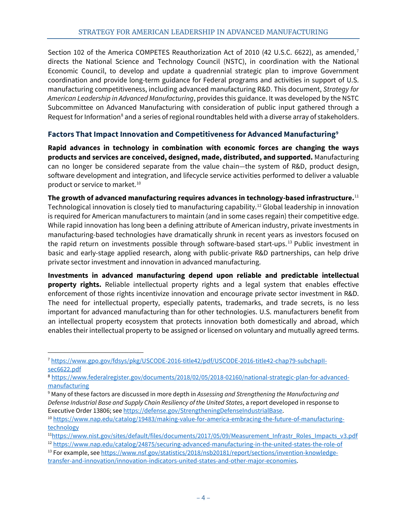Section 102 of the America COMPETES Reauthorization Act of 2010 (42 U.S.C. 6622), as amended,<sup>[7](#page-8-1)</sup> directs the National Science and Technology Council (NSTC), in coordination with the National Economic Council, to develop and update a quadrennial strategic plan to improve Government coordination and provide long-term guidance for Federal programs and activities in support of U.S. manufacturing competitiveness, including advanced manufacturing R&D. This document, *Strategy for American Leadership in Advanced Manufacturing*, provides this guidance. It was developed by the NSTC Subcommittee on Advanced Manufacturing with consideration of public input gathered through a Request for Information<sup>[8](#page-8-2)</sup> and a series of regional roundtables held with a diverse array of stakeholders.

#### <span id="page-8-0"></span>**Factors That Impact Innovation and Competitiveness for Advanced Manufacturing[9](#page-8-3)**

**Rapid advances in technology in combination with economic forces are changing the ways products and services are conceived, designed, made, distributed, and supported.** Manufacturing can no longer be considered separate from the value chain—the system of R&D, product design, software development and integration, and lifecycle service activities performed to deliver a valuable product or service to market.[10](#page-8-4)

**The growth of advanced manufacturing requires advances in technology-based infrastructure.** [11](#page-8-5) Technological innovation is closely tied to manufacturing capability.[12](#page-8-6) Global leadership in innovation is required for American manufacturers to maintain (and in some cases regain) their competitive edge. While rapid innovation has long been a defining attribute of American industry, private investments in manufacturing-based technologies have dramatically shrunk in recent years as investors focused on the rapid return on investments possible through software-based start-ups.<sup>[13](#page-8-7)</sup> Public investment in basic and early-stage applied research, along with public-private R&D partnerships, can help drive private sector investment and innovation in advanced manufacturing.

**Investments in advanced manufacturing depend upon reliable and predictable intellectual property rights.** Reliable intellectual property rights and a legal system that enables effective enforcement of those rights incentivize innovation and encourage private sector investment in R&D. The need for intellectual property, especially patents, trademarks, and trade secrets, is no less important for advanced manufacturing than for other technologies. U.S. manufacturers benefit from an intellectual property ecosystem that protects innovation both domestically and abroad, which enables their intellectual property to be assigned or licensed on voluntary and mutually agreed terms.

<span id="page-8-1"></span> <sup>7</sup> [https://www.gpo.gov/fdsys/pkg/USCODE-2016-title42/pdf/USCODE-2016-title42-chap79-subchapII](https://www.gpo.gov/fdsys/pkg/USCODE-2016-title42/pdf/USCODE-2016-title42-chap79-subchapII-sec6622.pdf)[sec6622.pdf](https://www.gpo.gov/fdsys/pkg/USCODE-2016-title42/pdf/USCODE-2016-title42-chap79-subchapII-sec6622.pdf)

<span id="page-8-2"></span><sup>8</sup> [https://www.federalregister.gov/documents/2018/02/05/2018-02160/national-strategic-plan-for-advanced](https://www.federalregister.gov/documents/2018/02/05/2018-02160/national-strategic-plan-for-advanced-manufacturing)[manufacturing](https://www.federalregister.gov/documents/2018/02/05/2018-02160/national-strategic-plan-for-advanced-manufacturing)

<span id="page-8-3"></span><sup>9</sup> Many of these factors are discussed in more depth in *Assessing and Strengthening the Manufacturing and Defense Industrial Base and Supply Chain Resiliency of the United States*, a report developed in response to Executive Order 13806; see [https://defense.gov/StrengtheningDefenseIndustrialBase.](https://defense.gov/StrengtheningDefenseIndustrialBase)

<span id="page-8-4"></span><sup>10</sup> [https://www.nap.edu/catalog/19483/making-value-for-america-embracing-the-future-of-manufacturing](https://www.nap.edu/catalog/19483/making-value-for-america-embracing-the-future-of-manufacturing-technology)[technology](https://www.nap.edu/catalog/19483/making-value-for-america-embracing-the-future-of-manufacturing-technology)

<span id="page-8-5"></span><sup>1</sup>[1https://www.nist.gov/sites/default/files/documents/2017/05/09/Measurement\\_Infrastr\\_Roles\\_Impacts\\_v3.pdf](https://www.nist.gov/sites/default/files/documents/2017/05/09/Measurement_Infrastr_Roles_Impacts_v3.pdf) <sup>12</sup> <https://www.nap.edu/catalog/24875/securing-advanced-manufacturing-in-the-united-states-the-role-of>

<span id="page-8-7"></span><span id="page-8-6"></span><sup>&</sup>lt;sup>13</sup> For example, see [https://www.nsf.gov/statistics/2018/nsb20181/report/sections/invention-knowledge-](https://www.nsf.gov/statistics/2018/nsb20181/report/sections/invention-knowledge-transfer-and-innovation/innovation-indicators-united-states-and-other-major-economies)

[transfer-and-innovation/innovation-indicators-united-states-and-other-major-economies.](https://www.nsf.gov/statistics/2018/nsb20181/report/sections/invention-knowledge-transfer-and-innovation/innovation-indicators-united-states-and-other-major-economies)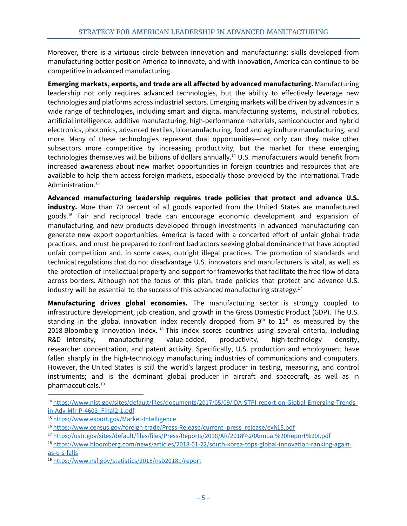Moreover, there is a virtuous circle between innovation and manufacturing: skills developed from manufacturing better position America to innovate, and with innovation, America can continue to be competitive in advanced manufacturing.

**Emerging markets, exports, and trade are all affected by advanced manufacturing.** Manufacturing leadership not only requires advanced technologies, but the ability to effectively leverage new technologies and platforms across industrial sectors. Emerging markets will be driven by advances in a wide range of technologies, including smart and digital manufacturing systems, industrial robotics, artificial intelligence, additive manufacturing, high-performance materials, semiconductor and hybrid electronics, photonics, advanced textiles, biomanufacturing, food and agriculture manufacturing, and more. Many of these technologies represent dual opportunities—not only can they make other subsectors more competitive by increasing productivity, but the market for these emerging technologies themselves will be billions of dollars annually.<sup>[14](#page-9-0)</sup> U.S. manufacturers would benefit from increased awareness about new market opportunities in foreign countries and resources that are available to help them access foreign markets, especially those provided by the International Trade Administration. [15](#page-9-1)

**Advanced manufacturing leadership requires trade policies that protect and advance U.S. industry.** More than 70 percent of all goods exported from the United States are manufactured goods.<sup>[16](#page-9-2)</sup> Fair and reciprocal trade can encourage economic development and expansion of manufacturing, and new products developed through investments in advanced manufacturing can generate new export opportunities. America is faced with a concerted effort of unfair global trade practices, and must be prepared to confront bad actors seeking global dominance that have adopted unfair competition and, in some cases, outright illegal practices. The promotion of standards and technical regulations that do not disadvantage U.S. innovators and manufacturers is vital, as well as the protection of intellectual property and support for frameworks that facilitate the free flow of data across borders. Although not the focus of this plan, trade policies that protect and advance U.S. industry will be essential to the success of this advanced manufacturing strategy.<sup>[17](#page-9-3)</sup>

**Manufacturing drives global economies.** The manufacturing sector is strongly coupled to infrastructure development, job creation, and growth in the Gross Domestic Product (GDP). The U.S. standing in the global innovation index recently dropped from  $9<sup>th</sup>$  to  $11<sup>th</sup>$  as measured by the 20[18](#page-9-4) Bloomberg Innovation Index.<sup>18</sup> This index scores countries using several criteria, including R&D intensity, manufacturing value-added, productivity, high-technology density, researcher concentration, and patent activity. Specifically, U.S. production and employment have fallen sharply in the high-technology manufacturing industries of communications and computers. However, the United States is still the world's largest producer in testing, measuring, and control instruments; and is the dominant global producer in aircraft and spacecraft, as well as in pharmaceuticals. [19](#page-9-5)

<span id="page-9-0"></span><sup>14</sup> [https://www.nist.gov/sites/default/files/documents/2017/05/09/IDA-STPI-report-on-Global-Emerging-Trends](https://www.nist.gov/sites/default/files/documents/2017/05/09/IDA-STPI-report-on-Global-Emerging-Trends-in-Adv-Mfr-P-4603_Final2-1.pdf)[in-Adv-Mfr-P-4603\\_Final2-1.pdf](https://www.nist.gov/sites/default/files/documents/2017/05/09/IDA-STPI-report-on-Global-Emerging-Trends-in-Adv-Mfr-P-4603_Final2-1.pdf)

<span id="page-9-1"></span><sup>15</sup> <https://www.export.gov/Market-Intelligence>

<span id="page-9-2"></span><sup>16</sup> [https://www.census.gov/foreign-trade/Press-Release/current\\_press\\_release/exh15.pdf](https://www.census.gov/foreign-trade/Press-Release/current_press_release/exh15.pdf)

<span id="page-9-3"></span><sup>17</sup> <https://ustr.gov/sites/default/files/files/Press/Reports/2018/AR/2018%20Annual%20Report%20I.pdf>

<span id="page-9-4"></span><sup>18</sup> [https://www.bloomberg.com/news/articles/2018-01-22/south-korea-tops-global-innovation-ranking-again](https://www.bloomberg.com/news/articles/2018-01-22/south-korea-tops-global-innovation-ranking-again-as-u-s-falls)[as-u-s-falls](https://www.bloomberg.com/news/articles/2018-01-22/south-korea-tops-global-innovation-ranking-again-as-u-s-falls)

<span id="page-9-5"></span><sup>19</sup> <https://www.nsf.gov/statistics/2018/nsb20181/report>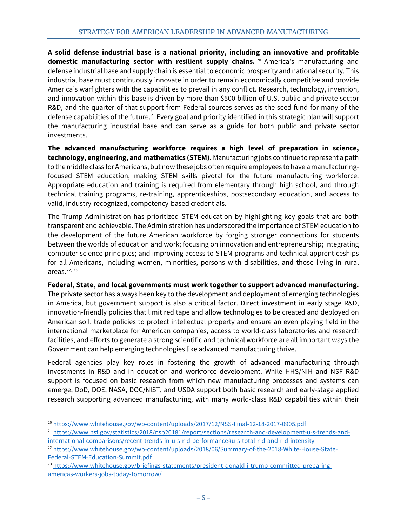**A solid defense industrial base is a national priority, including an innovative and profitable domestic manufacturing sector with resilient supply chains.** [20](#page-10-0) America's manufacturing and defense industrial base and supply chain is essential to economic prosperity and national security. This industrial base must continuously innovate in order to remain economically competitive and provide America's warfighters with the capabilities to prevail in any conflict. Research, technology, invention, and innovation within this base is driven by more than \$500 billion of U.S. public and private sector R&D, and the quarter of that support from Federal sources serves as the seed fund for many of the defense capabilities of the future.<sup>[21](#page-10-1)</sup> Every goal and priority identified in this strategic plan will support the manufacturing industrial base and can serve as a guide for both public and private sector investments.

**The advanced manufacturing workforce requires a high level of preparation in science, technology, engineering, and mathematics (STEM).** Manufacturing jobs continue to represent a path to the middle class for Americans, but now these jobs often require employees to have a manufacturingfocused STEM education, making STEM skills pivotal for the future manufacturing workforce. Appropriate education and training is required from elementary through high school, and through technical training programs, re-training, apprenticeships, postsecondary education, and access to valid, industry-recognized, competency-based credentials.

The Trump Administration has prioritized STEM education by highlighting key goals that are both transparent and achievable. The Administration has underscored the importance of STEM education to the development of the future American workforce by forging stronger connections for students between the worlds of education and work; focusing on innovation and entrepreneurship; integrating computer science principles; and improving access to STEM programs and technical apprenticeships for all Americans, including women, minorities, persons with disabilities, and those living in rural areas. $22, 23$  $22, 23$  $22, 23$ 

**Federal, State, and local governments must work together to support advanced manufacturing.** The private sector has always been key to the development and deployment of emerging technologies in America, but government support is also a critical factor. Direct investment in early stage R&D, innovation-friendly policies that limit red tape and allow technologies to be created and deployed on American soil, trade policies to protect intellectual property and ensure an even playing field in the international marketplace for American companies, access to world-class laboratories and research facilities, and efforts to generate a strong scientific and technical workforce are all important ways the Government can help emerging technologies like advanced manufacturing thrive.

Federal agencies play key roles in fostering the growth of advanced manufacturing through investments in R&D and in education and workforce development. While HHS/NIH and NSF R&D support is focused on basic research from which new manufacturing processes and systems can emerge, DoD, DOE, NASA, DOC/NIST, and USDA support both basic research and early-stage applied research supporting advanced manufacturing, with many world-class R&D capabilities within their

<span id="page-10-0"></span> <sup>20</sup> <https://www.whitehouse.gov/wp-content/uploads/2017/12/NSS-Final-12-18-2017-0905.pdf>

<span id="page-10-1"></span><sup>21</sup> [https://www.nsf.gov/statistics/2018/nsb20181/report/sections/research-and-development-u-s-trends-and](https://www.nsf.gov/statistics/2018/nsb20181/report/sections/research-and-development-u-s-trends-and-international-comparisons/recent-trends-in-u-s-r-d-performance#u-s-total-r-d-and-r-d-intensity)[international-comparisons/recent-trends-in-u-s-r-d-performance#u-s-total-r-d-and-r-d-intensity](https://www.nsf.gov/statistics/2018/nsb20181/report/sections/research-and-development-u-s-trends-and-international-comparisons/recent-trends-in-u-s-r-d-performance#u-s-total-r-d-and-r-d-intensity)

<span id="page-10-2"></span><sup>&</sup>lt;sup>22</sup> [https://www.whitehouse.gov/wp-content/uploads/2018/06/Summary-of-the-2018-White-House-State-](https://www.whitehouse.gov/wp-content/uploads/2018/06/Summary-of-the-2018-White-House-State-Federal-STEM-Education-Summit.pdf)[Federal-STEM-Education-Summit.pdf](https://www.whitehouse.gov/wp-content/uploads/2018/06/Summary-of-the-2018-White-House-State-Federal-STEM-Education-Summit.pdf)

<span id="page-10-3"></span><sup>&</sup>lt;sup>23</sup> [https://www.whitehouse.gov/briefings-statements/president-donald-j-trump-committed-preparing](https://www.whitehouse.gov/briefings-statements/president-donald-j-trump-committed-preparing-americas-workers-jobs-today-tomorrow/)[americas-workers-jobs-today-tomorrow/](https://www.whitehouse.gov/briefings-statements/president-donald-j-trump-committed-preparing-americas-workers-jobs-today-tomorrow/)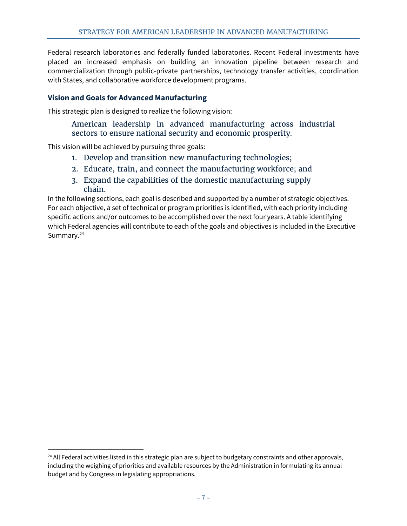Federal research laboratories and federally funded laboratories. Recent Federal investments have placed an increased emphasis on building an innovation pipeline between research and commercialization through public-private partnerships, technology transfer activities, coordination with States, and collaborative workforce development programs.

#### <span id="page-11-0"></span>**Vision and Goals for Advanced Manufacturing**

This strategic plan is designed to realize the following vision:

American leadership in advanced manufacturing across industrial sectors to ensure national security and economic prosperity*.* 

This vision will be achieved by pursuing three goals:

- 1. Develop and transition new manufacturing technologies;
- 2. Educate, train, and connect the manufacturing workforce; and
- 3. Expand the capabilities of the domestic manufacturing supply chain.

In the following sections, each goal is described and supported by a number of strategic objectives. For each objective, a set of technical or program priorities is identified, with each priority including specific actions and/or outcomes to be accomplished over the next four years. A table identifying which Federal agencies will contribute to each of the goals and objectives is included in the Executive Summary.<sup>[24](#page-11-1)</sup>

<span id="page-11-1"></span><sup>&</sup>lt;sup>24</sup> All Federal activities listed in this strategic plan are subject to budgetary constraints and other approvals, including the weighing of priorities and available resources by the Administration in formulating its annual budget and by Congress in legislating appropriations.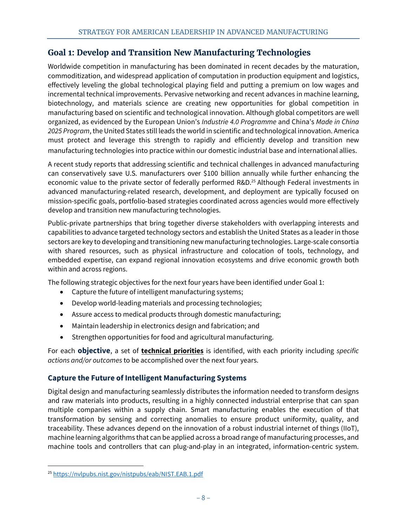# <span id="page-12-0"></span>**Goal 1: Develop and Transition New Manufacturing Technologies**

Worldwide competition in manufacturing has been dominated in recent decades by the maturation, commoditization, and widespread application of computation in production equipment and logistics, effectively leveling the global technological playing field and putting a premium on low wages and incremental technical improvements. Pervasive networking and recent advances in machine learning, biotechnology, and materials science are creating new opportunities for global competition in manufacturing based on scientific and technological innovation. Although global competitors are well organized, as evidenced by the European Union's *Industrie 4.0 Programme* and China's *Made in China 2025 Program*, the United States still leads the world in scientific and technological innovation. America must protect and leverage this strength to rapidly and efficiently develop and transition new manufacturing technologies into practice within our domestic industrial base and international allies.

A recent study reports that addressing scientific and technical challenges in advanced manufacturing can conservatively save U.S. manufacturers over \$100 billion annually while further enhancing the economic value to the private sector of federally performed R&D.<sup>[25](#page-12-2)</sup> Although Federal investments in advanced manufacturing-related research, development, and deployment are typically focused on mission-specific goals, portfolio-based strategies coordinated across agencies would more effectively develop and transition new manufacturing technologies.

Public-private partnerships that bring together diverse stakeholders with overlapping interests and capabilities to advance targeted technology sectors and establish the United States as a leaderin those sectors are key to developing and transitioning new manufacturing technologies. Large-scale consortia with shared resources, such as physical infrastructure and colocation of tools, technology, and embedded expertise, can expand regional innovation ecosystems and drive economic growth both within and across regions.

The following strategic objectives for the next four years have been identified under Goal 1:

- Capture the future of intelligent manufacturing systems;
- Develop world-leading materials and processing technologies;
- Assure access to medical products through domestic manufacturing;
- Maintain leadership in electronics design and fabrication; and
- Strengthen opportunities for food and agricultural manufacturing.

For each **objective**, a set of **technical priorities** is identified, with each priority including *specific actions and/or outcomes* to be accomplished over the next four years.

## <span id="page-12-1"></span>**Capture the Future of Intelligent Manufacturing Systems**

Digital design and manufacturing seamlessly distributes the information needed to transform designs and raw materials into products, resulting in a highly connected industrial enterprise that can span multiple companies within a supply chain. Smart manufacturing enables the execution of that transformation by sensing and correcting anomalies to ensure product uniformity, quality, and traceability. These advances depend on the innovation of a robust industrial internet of things (IIoT), machine learning algorithms that can be applied across a broad range of manufacturing processes, and machine tools and controllers that can plug-and-play in an integrated, information-centric system.

<span id="page-12-2"></span><sup>25</sup> <https://nvlpubs.nist.gov/nistpubs/eab/NIST.EAB.1.pdf>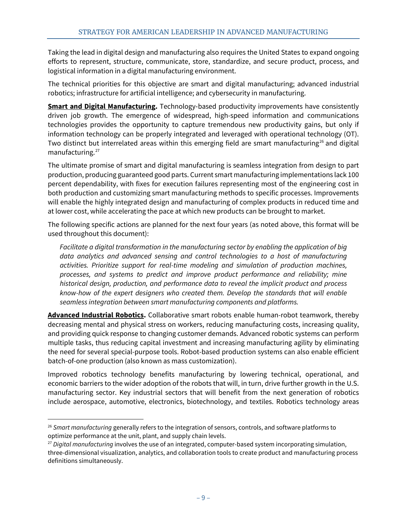Taking the lead in digital design and manufacturing also requires the United States to expand ongoing efforts to represent, structure, communicate, store, standardize, and secure product, process, and logistical information in a digital manufacturing environment.

The technical priorities for this objective are smart and digital manufacturing; advanced industrial robotics; infrastructure for artificial intelligence; and cybersecurity in manufacturing.

**Smart and Digital Manufacturing.** Technology‐based productivity improvements have consistently driven job growth. The emergence of widespread, high-speed information and communications technologies provides the opportunity to capture tremendous new productivity gains, but only if information technology can be properly integrated and leveraged with operational technology (OT). Two distinct but interrelated areas within this emerging field are smart manufacturing<sup>[26](#page-13-0)</sup> and digital manufacturing.<sup>[27](#page-13-1)</sup>

The ultimate promise of smart and digital manufacturing is seamless integration from design to part production, producing guaranteed good parts. Current smart manufacturing implementations lack 100 percent dependability, with fixes for execution failures representing most of the engineering cost in both production and customizing smart manufacturing methods to specific processes. Improvements will enable the highly integrated design and manufacturing of complex products in reduced time and at lower cost, while accelerating the pace at which new products can be brought to market.

The following specific actions are planned for the next four years (as noted above, this format will be used throughout this document):

*Facilitate a digital transformation in the manufacturing sector by enabling the application of big data analytics and advanced sensing and control technologies to a host of manufacturing activities. Prioritize support for real-time modeling and simulation of production machines, processes, and systems to predict and improve product performance and reliability; mine historical design, production, and performance data to reveal the implicit product and process know-how of the expert designers who created them. Develop the standards that will enable seamless integration between smart manufacturing components and platforms.*

**Advanced Industrial Robotics.** Collaborative smart robots enable human-robot teamwork, thereby decreasing mental and physical stress on workers, reducing manufacturing costs, increasing quality, and providing quick response to changing customer demands. Advanced robotic systems can perform multiple tasks, thus reducing capital investment and increasing manufacturing agility by eliminating the need for several special-purpose tools. Robot-based production systems can also enable efficient batch-of-one production (also known as mass customization).

Improved robotics technology benefits manufacturing by lowering technical, operational, and economic barriers to the wider adoption of the robots that will, in turn, drive further growth in the U.S. manufacturing sector. Key industrial sectors that will benefit from the next generation of robotics include aerospace, automotive, electronics, biotechnology, and textiles. Robotics technology areas

<span id="page-13-0"></span> <sup>26</sup> *Smart manufacturing* generally refers to the integration of sensors, controls, and software platforms to optimize performance at the unit, plant, and supply chain levels.

<span id="page-13-1"></span><sup>27</sup> *Digital manufacturing* involves the use of an integrated, computer-based system incorporating simulation, three-dimensional visualization, analytics, and collaboration tools to create product and manufacturing process definitions simultaneously.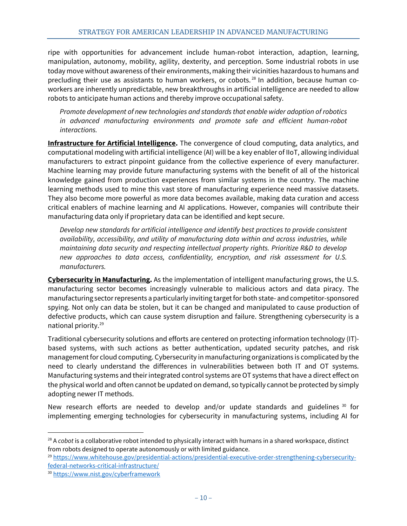ripe with opportunities for advancement include human-robot interaction, adaption, learning, manipulation, autonomy, mobility, agility, dexterity, and perception. Some industrial robots in use today move without awareness of their environments, making their vicinities hazardous to humans and precluding their use as assistants to human workers, or cobots.<sup>[28](#page-14-0)</sup> In addition, because human coworkers are inherently unpredictable, new breakthroughs in artificial intelligence are needed to allow robots to anticipate human actions and thereby improve occupational safety.

*Promote development of new technologies and standards that enable wider adoption of robotics in advanced manufacturing environments and promote safe and efficient human-robot interactions.*

**Infrastructure for Artificial Intelligence.** The convergence of cloud computing, data analytics, and computational modeling with artificial intelligence (AI) will be a key enabler of IIoT, allowing individual manufacturers to extract pinpoint guidance from the collective experience of every manufacturer. Machine learning may provide future manufacturing systems with the benefit of all of the historical knowledge gained from production experiences from similar systems in the country. The machine learning methods used to mine this vast store of manufacturing experience need massive datasets. They also become more powerful as more data becomes available, making data curation and access critical enablers of machine learning and AI applications. However, companies will contribute their manufacturing data only if proprietary data can be identified and kept secure.

*Develop new standards for artificial intelligence and identify best practices to provide consistent availability, accessibility, and utility of manufacturing data within and across industries, while maintaining data security and respecting intellectual property rights. Prioritize R&D to develop new approaches to data access, confidentiality, encryption, and risk assessment for U.S. manufacturers.*

**Cybersecurity in Manufacturing.** As the implementation of intelligent manufacturing grows, the U.S. manufacturing sector becomes increasingly vulnerable to malicious actors and data piracy. The manufacturing sectorrepresents a particularly inviting targetfor both state- and competitor-sponsored spying. Not only can data be stolen, but it can be changed and manipulated to cause production of defective products, which can cause system disruption and failure. Strengthening cybersecurity is a national priority.[29](#page-14-1)

Traditional cybersecurity solutions and efforts are centered on protecting information technology (IT) based systems, with such actions as better authentication, updated security patches, and risk managementfor cloud computing. Cybersecurity in manufacturing organizations is complicated by the need to clearly understand the differences in vulnerabilities between both IT and OT systems. Manufacturing systems and their integrated control systems are OT systems that have a direct effect on the physical world and often cannot be updated on demand, so typically cannot be protected by simply adopting newer IT methods.

New research efforts are needed to develop and/or update standards and guidelines  $30$  for implementing emerging technologies for cybersecurity in manufacturing systems, including AI for

<span id="page-14-0"></span> <sup>28</sup> <sup>A</sup> *cobot* is <sup>a</sup> collaborative robot intended to physically interact with humans in <sup>a</sup> shared workspace, distinct from robots designed to operate autonomously or with limited guidance.

<span id="page-14-1"></span><sup>29</sup> [https://www.whitehouse.gov/presidential-actions/presidential-executive-order-strengthening-cybersecurity](https://www.whitehouse.gov/presidential-actions/presidential-executive-order-strengthening-cybersecurity-federal-networks-critical-infrastructure/)[federal-networks-critical-infrastructure/](https://www.whitehouse.gov/presidential-actions/presidential-executive-order-strengthening-cybersecurity-federal-networks-critical-infrastructure/)

<span id="page-14-2"></span><sup>30</sup> <https://www.nist.gov/cyberframework>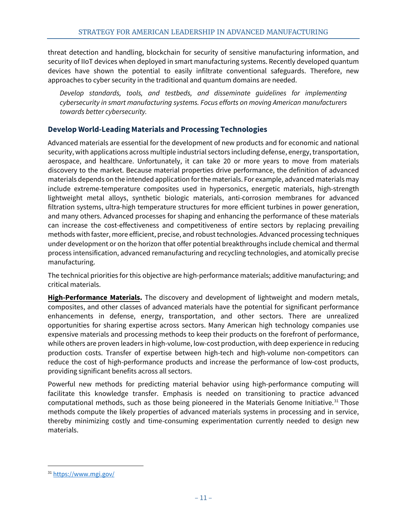threat detection and handling, blockchain for security of sensitive manufacturing information, and security of IIoT devices when deployed in smart manufacturing systems. Recently developed quantum devices have shown the potential to easily infiltrate conventional safeguards. Therefore, new approaches to cyber security in the traditional and quantum domains are needed.

*Develop standards, tools, and testbeds, and disseminate guidelines for implementing cybersecurity in smart manufacturing systems. Focus efforts on moving American manufacturers towards better cybersecurity.*

#### <span id="page-15-0"></span>**Develop World-Leading Materials and Processing Technologies**

Advanced materials are essential for the development of new products and for economic and national security, with applications across multiple industrial sectors including defense, energy, transportation, aerospace, and healthcare. Unfortunately, it can take 20 or more years to move from materials discovery to the market. Because material properties drive performance, the definition of advanced materials depends on the intended application forthe materials. For example, advanced materials may include extreme-temperature composites used in hypersonics, energetic materials, high-strength lightweight metal alloys, synthetic biologic materials, anti-corrosion membranes for advanced filtration systems, ultra-high temperature structures for more efficient turbines in power generation, and many others. Advanced processes for shaping and enhancing the performance of these materials can increase the cost-effectiveness and competitiveness of entire sectors by replacing prevailing methods with faster, more efficient, precise, and robust technologies. Advanced processing techniques under development or on the horizon that offer potential breakthroughs include chemical and thermal process intensification, advanced remanufacturing and recycling technologies, and atomically precise manufacturing.

The technical priorities for this objective are high-performance materials; additive manufacturing; and critical materials.

**High-Performance Materials.** The discovery and development of lightweight and modern metals, composites, and other classes of advanced materials have the potential for significant performance enhancements in defense, energy, transportation, and other sectors. There are unrealized opportunities for sharing expertise across sectors. Many American high technology companies use expensive materials and processing methods to keep their products on the forefront of performance, while others are proven leaders in high-volume, low-cost production, with deep experience in reducing production costs. Transfer of expertise between high-tech and high-volume non-competitors can reduce the cost of high-performance products and increase the performance of low-cost products, providing significant benefits across all sectors.

Powerful new methods for predicting material behavior using high-performance computing will facilitate this knowledge transfer. Emphasis is needed on transitioning to practice advanced computational methods, such as those being pioneered in the Materials Genome Initiative.<sup>[31](#page-15-1)</sup> Those methods compute the likely properties of advanced materials systems in processing and in service, thereby minimizing costly and time-consuming experimentation currently needed to design new materials.

<span id="page-15-1"></span><sup>31</sup> <https://www.mgi.gov/>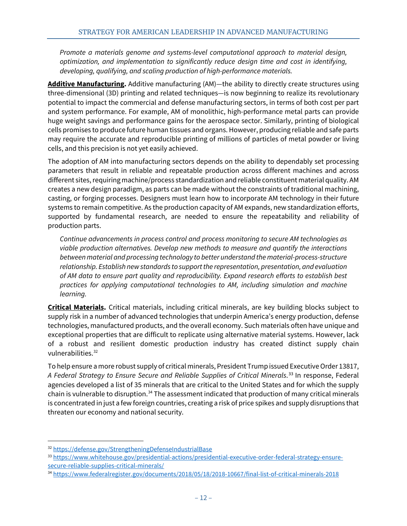*Promote a materials genome and systems-level computational approach to material design, optimization, and implementation to significantly reduce design time and cost in identifying, developing, qualifying, and scaling production of high-performance materials.*

**Additive Manufacturing.** Additive manufacturing (AM)—the ability to directly create structures using three-dimensional (3D) printing and related techniques—is now beginning to realize its revolutionary potential to impact the commercial and defense manufacturing sectors, in terms of both cost per part and system performance. For example, AM of monolithic, high-performance metal parts can provide huge weight savings and performance gains for the aerospace sector. Similarly, printing of biological cells promises to produce future human tissues and organs. However, producing reliable and safe parts may require the accurate and reproducible printing of millions of particles of metal powder or living cells, and this precision is not yet easily achieved.

The adoption of AM into manufacturing sectors depends on the ability to dependably set processing parameters that result in reliable and repeatable production across different machines and across different sites, requiring machine/process standardization and reliable constituent material quality. AM creates a new design paradigm, as parts can be made without the constraints of traditional machining, casting, or forging processes. Designers must learn how to incorporate AM technology in their future systems to remain competitive. As the production capacity of AM expands, new standardization efforts, supported by fundamental research, are needed to ensure the repeatability and reliability of production parts.

*Continue advancements in process control and process monitoring to secure AM technologies as viable production alternatives. Develop new methods to measure and quantify the interactions betweenmaterial and processing technology to better understand thematerial-process-structure relationship. Establish newstandards to supportthe representation, presentation, and evaluation of AM data to ensure part quality and reproducibility. Expand research efforts to establish best practices for applying computational technologies to AM, including simulation and machine learning.*

**Critical Materials.** Critical materials, including critical minerals, are key building blocks subject to supply risk in a number of advanced technologies that underpin America's energy production, defense technologies, manufactured products, and the overall economy. Such materials often have unique and exceptional properties that are difficult to replicate using alternative material systems. However, lack of a robust and resilient domestic production industry has created distinct supply chain vulnerabilities.[32](#page-16-0)

To help ensure a more robust supply of critical minerals, President Trump issued ExecutiveOrder 13817, *A Federal Strategy to Ensure Secure and Reliable Supplies of Critical Minerals*. [33](#page-16-1) In response, Federal agencies developed a list of 35 minerals that are critical to the United States and for which the supply chain is vulnerable to disruption.<sup>[34](#page-16-2)</sup> The assessment indicated that production of many critical minerals is concentrated in just a few foreign countries, creating a risk of price spikes and supply disruptions that threaten our economy and national security.

<span id="page-16-0"></span> <sup>32</sup> <https://defense.gov/StrengtheningDefenseIndustrialBase>

<span id="page-16-1"></span><sup>33</sup> [https://www.whitehouse.gov/presidential-actions/presidential-executive-order-federal-strategy-ensure](https://www.whitehouse.gov/presidential-actions/presidential-executive-order-federal-strategy-ensure-secure-reliable-supplies-critical-minerals/)[secure-reliable-supplies-critical-minerals/](https://www.whitehouse.gov/presidential-actions/presidential-executive-order-federal-strategy-ensure-secure-reliable-supplies-critical-minerals/)

<span id="page-16-2"></span><sup>34</sup> <https://www.federalregister.gov/documents/2018/05/18/2018-10667/final-list-of-critical-minerals-2018>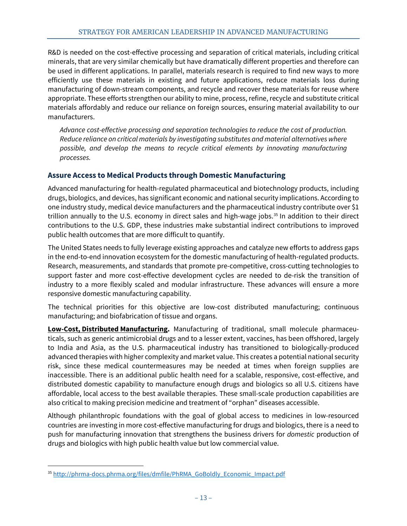R&D is needed on the cost-effective processing and separation of critical materials, including critical minerals, that are very similar chemically but have dramatically different properties and therefore can be used in different applications. In parallel, materials research is required to find new ways to more efficiently use these materials in existing and future applications, reduce materials loss during manufacturing of down-stream components, and recycle and recover these materials for reuse where appropriate. These efforts strengthen our ability to mine, process, refine, recycle and substitute critical materials affordably and reduce our reliance on foreign sources, ensuring material availability to our manufacturers.

*Advance cost-effective processing and separation technologies to reduce the cost of production. Reduce reliance on criticalmaterials by investigating substitutes and material alternatives where possible, and develop the means to recycle critical elements by innovating manufacturing processes.*

#### <span id="page-17-0"></span>**Assure Access to Medical Products through Domestic Manufacturing**

Advanced manufacturing for health-regulated pharmaceutical and biotechnology products, including drugs, biologics, and devices, has significant economic and national security implications. According to one industry study, medical device manufacturers and the pharmaceutical industry contribute over \$1 trillion annually to the U.S. economy in direct sales and high-wage jobs. [35](#page-17-1) In addition to their direct contributions to the U.S. GDP, these industries make substantial indirect contributions to improved public health outcomes that are more difficult to quantify.

The United States needs to fully leverage existing approaches and catalyze new efforts to address gaps in the end-to-end innovation ecosystem for the domestic manufacturing of health-regulated products. Research, measurements, and standards that promote pre-competitive, cross-cutting technologies to support faster and more cost-effective development cycles are needed to de-risk the transition of industry to a more flexibly scaled and modular infrastructure. These advances will ensure a more responsive domestic manufacturing capability.

The technical priorities for this objective are low-cost distributed manufacturing; continuous manufacturing; and biofabrication of tissue and organs.

**Low-Cost, Distributed Manufacturing.** Manufacturing of traditional, small molecule pharmaceuticals, such as generic antimicrobial drugs and to a lesser extent, vaccines, has been offshored, largely to India and Asia, as the U.S. pharmaceutical industry has transitioned to biologically-produced advanced therapies with higher complexity and market value. This creates a potential national security risk, since these medical countermeasures may be needed at times when foreign supplies are inaccessible. There is an additional public health need for a scalable, responsive, cost-effective, and distributed domestic capability to manufacture enough drugs and biologics so all U.S. citizens have affordable, local access to the best available therapies. These small-scale production capabilities are also critical to making precision medicine and treatment of "orphan" diseases accessible.

Although philanthropic foundations with the goal of global access to medicines in low-resourced countries are investing in more cost-effective manufacturing for drugs and biologics, there is a need to push for manufacturing innovation that strengthens the business drivers for *domestic* production of drugs and biologics with high public health value but low commercial value.

<span id="page-17-1"></span> <sup>35</sup> [http://phrma-docs.phrma.org/files/dmfile/PhRMA\\_GoBoldly\\_Economic\\_Impact.pdf](http://phrma-docs.phrma.org/files/dmfile/PhRMA_GoBoldly_Economic_Impact.pdf)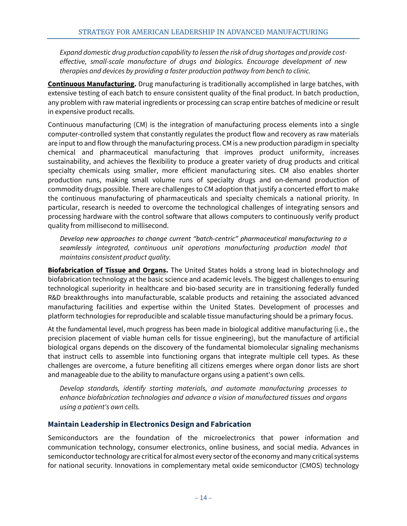*Expand domestic drug production capability to lessen the risk of drug shortages and provide costeffective, small-scale manufacture of drugs and biologics. Encourage development of new therapies and devices by providing a faster production pathway from bench to clinic.* 

**Continuous Manufacturing.** Drug manufacturing is traditionally accomplished in large batches, with extensive testing of each batch to ensure consistent quality of the final product. In batch production, any problem with raw material ingredients or processing can scrap entire batches of medicine or result in expensive product recalls.

Continuous manufacturing (CM) is the integration of manufacturing process elements into a single computer-controlled system that constantly regulates the product flow and recovery as raw materials are input to and flow through the manufacturing process. CM is a new production paradigm in specialty chemical and pharmaceutical manufacturing that improves product uniformity, increases sustainability, and achieves the flexibility to produce a greater variety of drug products and critical specialty chemicals using smaller, more efficient manufacturing sites. CM also enables shorter production runs, making small volume runs of specialty drugs and on-demand production of commodity drugs possible. There are challenges to CM adoption that justify a concerted effort to make the continuous manufacturing of pharmaceuticals and specialty chemicals a national priority. In particular, research is needed to overcome the technological challenges of integrating sensors and processing hardware with the control software that allows computers to continuously verify product quality from millisecond to millisecond.

*Develop new approaches to change current "batch-centric" pharmaceutical manufacturing to a seamlessly integrated, continuous unit operations manufacturing production model that maintains consistent product quality.* 

**Biofabrication of Tissue and Organs.** The United States holds a strong lead in biotechnology and biofabrication technology at the basic science and academic levels. The biggest challenges to ensuring technological superiority in healthcare and bio-based security are in transitioning federally funded R&D breakthroughs into manufacturable, scalable products and retaining the associated advanced manufacturing facilities and expertise within the United States. Development of processes and platform technologies for reproducible and scalable tissue manufacturing should be a primary focus.

At the fundamental level, much progress has been made in biological additive manufacturing (i.e., the precision placement of viable human cells for tissue engineering), but the manufacture of artificial biological organs depends on the discovery of the fundamental biomolecular signaling mechanisms that instruct cells to assemble into functioning organs that integrate multiple cell types. As these challenges are overcome, a future benefiting all citizens emerges where organ donor lists are short and manageable due to the ability to manufacture organs using a patient's own cells.

*Develop standards, identify starting materials, and automate manufacturing processes to enhance biofabrication technologies and advance a vision of manufactured tissues and organs using a patient's own cells.*

## <span id="page-18-0"></span>**Maintain Leadership in Electronics Design and Fabrication**

Semiconductors are the foundation of the microelectronics that power information and communication technology, consumer electronics, online business, and social media. Advances in semiconductor technology are critical for almost every sector of the economy and many critical systems for national security. Innovations in complementary metal oxide semiconductor (CMOS) technology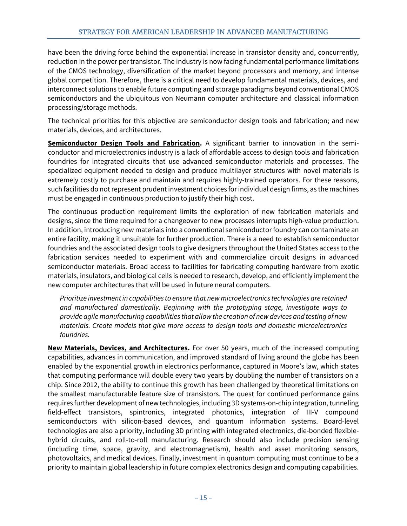have been the driving force behind the exponential increase in transistor density and, concurrently, reduction in the power per transistor. The industry is now facing fundamental performance limitations of the CMOS technology, diversification of the market beyond processors and memory, and intense global competition. Therefore, there is a critical need to develop fundamental materials, devices, and interconnect solutions to enable future computing and storage paradigms beyond conventional CMOS semiconductors and the ubiquitous von Neumann computer architecture and classical information processing/storage methods.

The technical priorities for this objective are semiconductor design tools and fabrication; and new materials, devices, and architectures.

**Semiconductor Design Tools and Fabrication.** A significant barrier to innovation in the semiconductor and microelectronics industry is a lack of affordable access to design tools and fabrication foundries for integrated circuits that use advanced semiconductor materials and processes. The specialized equipment needed to design and produce multilayer structures with novel materials is extremely costly to purchase and maintain and requires highly-trained operators. For these reasons, such facilities do not represent prudent investment choices for individual design firms, as the machines must be engaged in continuous production to justify their high cost.

The continuous production requirement limits the exploration of new fabrication materials and designs, since the time required for a changeover to new processes interrupts high-value production. In addition, introducing new materials into a conventional semiconductor foundry can contaminate an entire facility, making it unsuitable for further production. There is a need to establish semiconductor foundries and the associated design tools to give designers throughout the United States access to the fabrication services needed to experiment with and commercialize circuit designs in advanced semiconductor materials. Broad access to facilities for fabricating computing hardware from exotic materials, insulators, and biological cells is needed to research, develop, and efficiently implement the new computer architectures that will be used in future neural computers.

*Prioritize investmentin capabilities to ensure that newmicroelectronics technologies are retained and manufactured domestically. Beginning with the prototyping stage, investigate ways to provide agilemanufacturing capabilities that allowthe creation of new devices and testing of new materials. Create models that give more access to design tools and domestic microelectronics foundries.*

**New Materials, Devices, and Architectures.** For over 50 years, much of the increased computing capabilities, advances in communication, and improved standard of living around the globe has been enabled by the exponential growth in electronics performance, captured in Moore's law, which states that computing performance will double every two years by doubling the number of transistors on a chip. Since 2012, the ability to continue this growth has been challenged by theoretical limitations on the smallest manufacturable feature size of transistors. The quest for continued performance gains requires further development of new technologies, including 3D systems-on-chip integration, tunneling field-effect transistors, spintronics, integrated photonics, integration of III-V compound semiconductors with silicon-based devices, and quantum information systems. Board-level technologies are also a priority, including 3D printing with integrated electronics, die-bonded flexiblehybrid circuits, and roll-to-roll manufacturing. Research should also include precision sensing (including time, space, gravity, and electromagnetism), health and asset monitoring sensors, photovoltaics, and medical devices. Finally, investment in quantum computing must continue to be a priority to maintain global leadership in future complex electronics design and computing capabilities.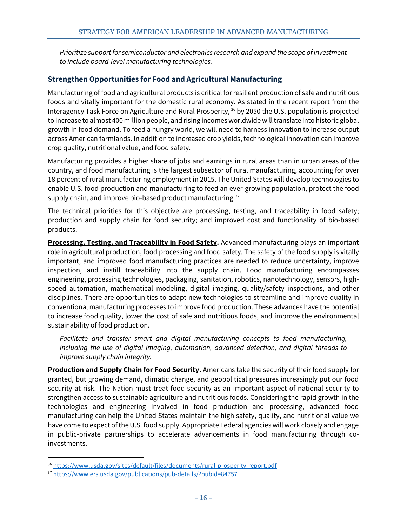*Prioritize support for semiconductor and electronics research and expand the scope of investment to include board-level manufacturing technologies.*

#### <span id="page-20-0"></span>**Strengthen Opportunities for Food and Agricultural Manufacturing**

Manufacturing of food and agricultural products is critical for resilient production of safe and nutritious foods and vitally important for the domestic rural economy. As stated in the recent report from the Interagency Task Force on Agriculture and Rural Prosperity, [36](#page-20-1) by 2050 the U.S. population is projected to increase to almost 400 million people, and rising incomes worldwide willtranslate into historic global growth in food demand. To feed a hungry world, we will need to harness innovation to increase output across American farmlands. In addition to increased crop yields, technological innovation can improve crop quality, nutritional value, and food safety.

Manufacturing provides a higher share of jobs and earnings in rural areas than in urban areas of the country, and food manufacturing is the largest subsector of rural manufacturing, accounting for over 18 percent of rural manufacturing employment in 2015. The United States will develop technologies to enable U.S. food production and manufacturing to feed an ever-growing population, protect the food supply chain, and improve bio-based product manufacturing.<sup>[37](#page-20-2)</sup>

The technical priorities for this objective are processing, testing, and traceability in food safety; production and supply chain for food security; and improved cost and functionality of bio-based products.

**Processing, Testing, and Traceability in Food Safety.** Advanced manufacturing plays an important role in agricultural production, food processing and food safety. The safety of the food supply is vitally important, and improved food manufacturing practices are needed to reduce uncertainty, improve inspection, and instill traceability into the supply chain. Food manufacturing encompasses engineering, processing technologies, packaging, sanitation, robotics, nanotechnology, sensors, highspeed automation, mathematical modeling, digital imaging, quality/safety inspections, and other disciplines. There are opportunities to adapt new technologies to streamline and improve quality in conventional manufacturing processes to improve food production. These advances have the potential to increase food quality, lower the cost of safe and nutritious foods, and improve the environmental sustainability of food production.

*Facilitate and transfer smart and digital manufacturing concepts to food manufacturing, including the use of digital imaging, automation, advanced detection, and digital threads to improve supply chain integrity.*

**Production and Supply Chain for Food Security.** Americans take the security of their food supply for granted, but growing demand, climatic change, and geopolitical pressures increasingly put our food security at risk. The Nation must treat food security as an important aspect of national security to strengthen access to sustainable agriculture and nutritious foods. Considering the rapid growth in the technologies and engineering involved in food production and processing, advanced food manufacturing can help the United States maintain the high safety, quality, and nutritional value we have come to expect of the U.S. food supply. Appropriate Federal agencies will work closely and engage in public-private partnerships to accelerate advancements in food manufacturing through coinvestments.

<span id="page-20-1"></span> <sup>36</sup> <https://www.usda.gov/sites/default/files/documents/rural-prosperity-report.pdf>

<span id="page-20-2"></span><sup>37</sup> <https://www.ers.usda.gov/publications/pub-details/?pubid=84757>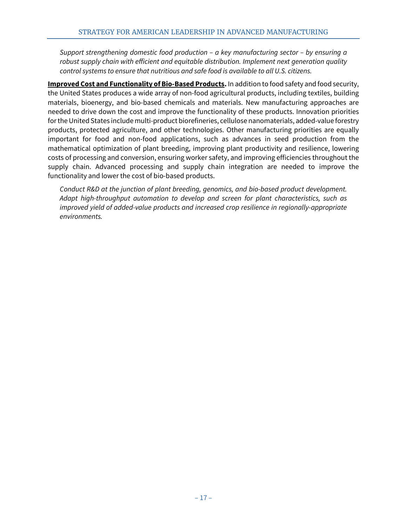*Support strengthening domestic food production – a key manufacturing sector – by ensuring a robust supply chain with efficient and equitable distribution. Implement next generation quality control systems to ensure that nutritious and safe food is available to all U.S. citizens.*

**Improved Cost and Functionality of Bio-Based Products.** In addition to food safety and food security, the United States produces a wide array of non-food agricultural products, including textiles, building materials, bioenergy, and bio-based chemicals and materials. New manufacturing approaches are needed to drive down the cost and improve the functionality of these products. Innovation priorities for the United States include multi-product biorefineries, cellulose nanomaterials, added-value forestry products, protected agriculture, and other technologies. Other manufacturing priorities are equally important for food and non-food applications, such as advances in seed production from the mathematical optimization of plant breeding, improving plant productivity and resilience, lowering costs of processing and conversion, ensuring worker safety, and improving efficiencies throughout the supply chain. Advanced processing and supply chain integration are needed to improve the functionality and lower the cost of bio-based products.

*Conduct R&D at the junction of plant breeding, genomics, and bio-based product development. Adapt high-throughput automation to develop and screen for plant characteristics, such as improved yield of added-value products and increased crop resilience in regionally-appropriate environments.*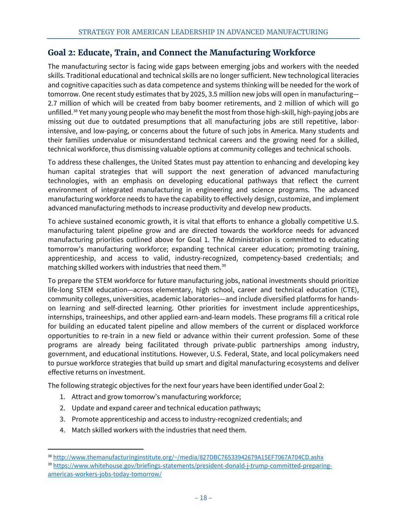# <span id="page-22-0"></span>**Goal 2: Educate, Train, and Connect the Manufacturing Workforce**

The manufacturing sector is facing wide gaps between emerging jobs and workers with the needed skills. Traditional educational and technical skills are no longer sufficient. New technological literacies and cognitive capacities such as data competence and systems thinking will be needed for the work of tomorrow. One recent study estimates that by 2025, 3.5 million new jobs will open in manufacturing— 2.7 million of which will be created from baby boomer retirements, and 2 million of which will go unfilled[.38](#page-22-1) Yet many young people who may benefit the most from those high-skill, high-paying jobs are missing out due to outdated presumptions that all manufacturing jobs are still repetitive, laborintensive, and low-paying, or concerns about the future of such jobs in America. Many students and their families undervalue or misunderstand technical careers and the growing need for a skilled, technical workforce, thus dismissing valuable options at community colleges and technical schools.

To address these challenges, the United States must pay attention to enhancing and developing key human capital strategies that will support the next generation of advanced manufacturing technologies, with an emphasis on developing educational pathways that reflect the current environment of integrated manufacturing in engineering and science programs. The advanced manufacturing workforce needs to have the capability to effectively design, customize, and implement advanced manufacturing methods to increase productivity and develop new products.

To achieve sustained economic growth, it is vital that efforts to enhance a globally competitive U.S. manufacturing talent pipeline grow and are directed towards the workforce needs for advanced manufacturing priorities outlined above for Goal 1. The Administration is committed to educating tomorrow's manufacturing workforce; expanding technical career education; promoting training, apprenticeship, and access to valid, industry-recognized, competency-based credentials; and matching skilled workers with industries that need them. [39](#page-22-2)

To prepare the STEM workforce for future manufacturing jobs, national investments should prioritize life-long STEM education—across elementary, high school, career and technical education (CTE), community colleges, universities, academic laboratories—and include diversified platforms for handson learning and self-directed learning. Other priorities for investment include apprenticeships, internships, traineeships, and other applied earn-and-learn models. These programs fill a critical role for building an educated talent pipeline and allow members of the current or displaced workforce opportunities to re-train in a new field or advance within their current profession. Some of these programs are already being facilitated through private-public partnerships among industry, government, and educational institutions. However, U.S. Federal, State, and local policymakers need to pursue workforce strategies that build up smart and digital manufacturing ecosystems and deliver effective returns on investment.

The following strategic objectives for the next four years have been identified under Goal 2:

- 1. Attract and grow tomorrow's manufacturing workforce;
- 2. Update and expand career and technical education pathways;
- 3. Promote apprenticeship and access to industry-recognized credentials; and
- 4. Match skilled workers with the industries that need them.

<span id="page-22-1"></span> <sup>38</sup> [http://www.themanufacturinginstitute.org/~/media/827DBC76533942679A15EF7067A704CD.ashx](http://www.themanufacturinginstitute.org/%7E/media/827DBC76533942679A15EF7067A704CD.ashx)

<span id="page-22-2"></span><sup>39</sup> [https://www.whitehouse.gov/briefings-statements/president-donald-j-trump-committed-preparing](https://www.whitehouse.gov/briefings-statements/president-donald-j-trump-committed-preparing-americas-workers-jobs-today-tomorrow/)[americas-workers-jobs-today-tomorrow/](https://www.whitehouse.gov/briefings-statements/president-donald-j-trump-committed-preparing-americas-workers-jobs-today-tomorrow/)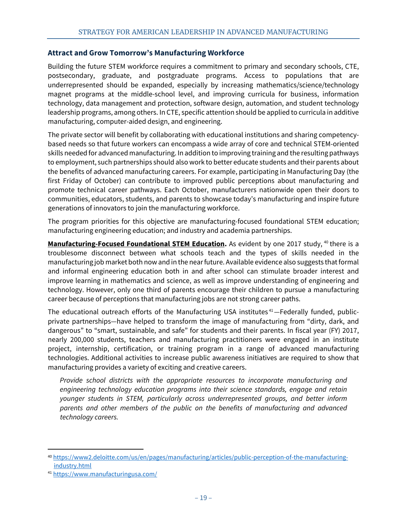#### <span id="page-23-0"></span>**Attract and Grow Tomorrow's Manufacturing Workforce**

Building the future STEM workforce requires a commitment to primary and secondary schools, CTE, postsecondary, graduate, and postgraduate programs. Access to populations that are underrepresented should be expanded, especially by increasing mathematics/science/technology magnet programs at the middle-school level, and improving curricula for business, information technology, data management and protection, software design, automation, and student technology leadership programs, among others. In CTE, specific attention should be applied to curricula in additive manufacturing, computer-aided design, and engineering.

The private sector will benefit by collaborating with educational institutions and sharing competencybased needs so that future workers can encompass a wide array of core and technical STEM-oriented skills needed for advanced manufacturing. In addition to improving training and the resulting pathways to employment, such partnerships should also work to better educate students and their parents about the benefits of advanced manufacturing careers. For example, participating in Manufacturing Day (the first Friday of October) can contribute to improved public perceptions about manufacturing and promote technical career pathways. Each October, manufacturers nationwide open their doors to communities, educators, students, and parents to showcase today's manufacturing and inspire future generations of innovators to join the manufacturing workforce.

The program priorities for this objective are manufacturing-focused foundational STEM education; manufacturing engineering education; and industry and academia partnerships.

Manufacturing-Focused Foundational STEM Education. As evident by one 2017 study, <sup>[40](#page-23-1)</sup> there is a troublesome disconnect between what schools teach and the types of skills needed in the manufacturing job market both now and in the nearfuture. Available evidence also suggests thatformal and informal engineering education both in and after school can stimulate broader interest and improve learning in mathematics and science, as well as improve understanding of engineering and technology. However, only one third of parents encourage their children to pursue a manufacturing career because of perceptions that manufacturing jobs are not strong career paths.

The educational outreach efforts of the Manufacturing USA institutes<sup>[41](#page-23-2)</sup>—Federally funded, publicprivate partnerships—have helped to transform the image of manufacturing from "dirty, dark, and dangerous" to "smart, sustainable, and safe" for students and their parents. In fiscal year (FY) 2017, nearly 200,000 students, teachers and manufacturing practitioners were engaged in an institute project, internship, certification, or training program in a range of advanced manufacturing technologies. Additional activities to increase public awareness initiatives are required to show that manufacturing provides a variety of exciting and creative careers.

*Provide school districts with the appropriate resources to incorporate manufacturing and engineering technology education programs into their science standards, engage and retain younger students in STEM, particularly across underrepresented groups, and better inform parents and other members of the public on the benefits of manufacturing and advanced technology careers.*

 $\overline{a}$ 

<span id="page-23-1"></span><sup>40</sup> [https://www2.deloitte.com/us/en/pages/manufacturing/articles/public-perception-of-the-manufacturing](https://www2.deloitte.com/us/en/pages/manufacturing/articles/public-perception-of-the-manufacturing-industry.html)[industry.html](https://www2.deloitte.com/us/en/pages/manufacturing/articles/public-perception-of-the-manufacturing-industry.html)

<span id="page-23-2"></span><sup>41</sup> <https://www.manufacturingusa.com/>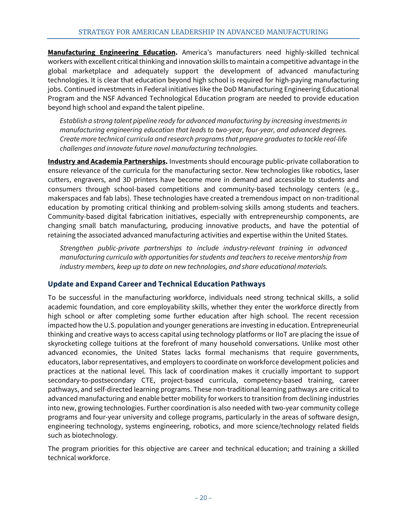**Manufacturing Engineering Education.** America's manufacturers need highly-skilled technical workers with excellent critical thinking and innovation skills to maintain a competitive advantage in the global marketplace and adequately support the development of advanced manufacturing technologies. It is clear that education beyond high school is required for high-paying manufacturing jobs. Continued investments in Federal initiatives like the DoD Manufacturing Engineering Educational Program and the NSF Advanced Technological Education program are needed to provide education beyond high school and expand the talent pipeline.

*Establish a strong talent pipeline ready for advanced manufacturing by increasing investments in manufacturing engineering education that leads to two-year, four-year, and advanced degrees. Create more technical curricula and research programs that prepare graduates to tackle real-life challenges and innovate future novel manufacturing technologies.*

**Industry and Academia Partnerships.** Investments should encourage public-private collaboration to ensure relevance of the curricula for the manufacturing sector. New technologies like robotics, laser cutters, engravers, and 3D printers have become more in demand and accessible to students and consumers through school-based competitions and community-based technology centers (e.g., makerspaces and fab labs). These technologies have created a tremendous impact on non-traditional education by promoting critical thinking and problem-solving skills among students and teachers. Community-based digital fabrication initiatives, especially with entrepreneurship components, are changing small batch manufacturing, producing innovative products, and have the potential of retaining the associated advanced manufacturing activities and expertise within the United States.

*Strengthen public-private partnerships to include industry-relevant training in advanced manufacturing curricula with opportunities for students and teachers to receive mentorship from industry members, keep up to date on new technologies, and share educational materials.*

## <span id="page-24-0"></span>**Update and Expand Career and Technical Education Pathways**

To be successful in the manufacturing workforce, individuals need strong technical skills, a solid academic foundation, and core employability skills, whether they enter the workforce directly from high school or after completing some further education after high school. The recent recession impacted how the U.S. population and younger generations are investing in education. Entrepreneurial thinking and creative ways to access capital using technology platforms or IIoT are placing the issue of skyrocketing college tuitions at the forefront of many household conversations. Unlike most other advanced economies, the United States lacks formal mechanisms that require governments, educators, labor representatives, and employers to coordinate on workforce development policies and practices at the national level. This lack of coordination makes it crucially important to support secondary-to-postsecondary CTE, project-based curricula, competency-based training, career pathways, and self-directed learning programs. These non-traditional learning pathways are critical to advanced manufacturing and enable better mobility for workers to transition from declining industries into new, growing technologies. Further coordination is also needed with two-year community college programs and four-year university and college programs, particularly in the areas of software design, engineering technology, systems engineering, robotics, and more science/technology related fields such as biotechnology.

The program priorities for this objective are career and technical education; and training a skilled technical workforce.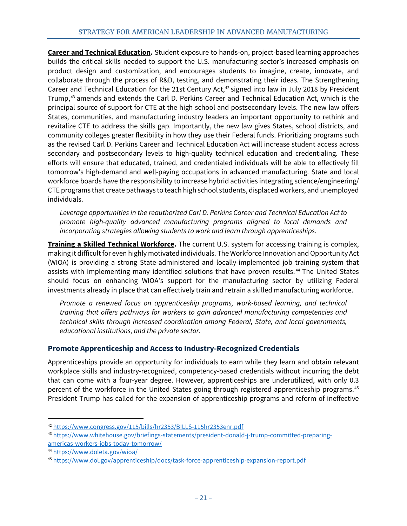**Career and Technical Education.** Student exposure to hands-on, project-based learning approaches builds the critical skills needed to support the U.S. manufacturing sector's increased emphasis on product design and customization, and encourages students to imagine, create, innovate, and collaborate through the process of R&D, testing, and demonstrating their ideas. The Strengthening Career and Technical Education for the 21st Century Act,<sup>[42](#page-25-1)</sup> signed into law in July 2018 by President Trump,<sup>[43](#page-25-2)</sup> amends and extends the Carl D. Perkins Career and Technical Education Act, which is the principal source of support for CTE at the high school and postsecondary levels. The new law offers States, communities, and manufacturing industry leaders an important opportunity to rethink and revitalize CTE to address the skills gap. Importantly, the new law gives States, school districts, and community colleges greater flexibility in how they use their Federal funds. Prioritizing programs such as the revised Carl D. Perkins Career and Technical Education Act will increase student access across secondary and postsecondary levels to high-quality technical education and credentialing. These efforts will ensure that educated, trained, and credentialed individuals will be able to effectively fill tomorrow's high-demand and well-paying occupations in advanced manufacturing. State and local workforce boards have the responsibility to increase hybrid activities integrating science/engineering/ CTE programs that create pathways to teach high school students, displaced workers, and unemployed individuals.

*Leverage opportunities in the reauthorized Carl D. Perkins Career and Technical Education Act to promote high-quality advanced manufacturing programs aligned to local demands and incorporating strategies allowing students to work and learn through apprenticeships.*

**Training a Skilled Technical Workforce.** The current U.S. system for accessing training is complex, making it difficult for even highly motivated individuals. The Workforce Innovation and Opportunity Act (WIOA) is providing a strong State-administered and locally-implemented job training system that assists with implementing many identified solutions that have proven results. [44](#page-25-3) The United States should focus on enhancing WIOA's support for the manufacturing sector by utilizing Federal investments already in place that can effectively train and retrain a skilled manufacturing workforce.

*Promote a renewed focus on apprenticeship programs, work-based learning, and technical training that offers pathways for workers to gain advanced manufacturing competencies and technical skills through increased coordination among Federal, State, and local governments, educational institutions, and the private sector.*

## <span id="page-25-0"></span>**Promote Apprenticeship and Access to Industry-Recognized Credentials**

Apprenticeships provide an opportunity for individuals to earn while they learn and obtain relevant workplace skills and industry-recognized, competency-based credentials without incurring the debt that can come with a four-year degree. However, apprenticeships are underutilized, with only 0.3 percent of the workforce in the United States going through registered apprenticeship programs.<sup>[45](#page-25-4)</sup> President Trump has called for the expansion of apprenticeship programs and reform of ineffective

<span id="page-25-1"></span> <sup>42</sup> <https://www.congress.gov/115/bills/hr2353/BILLS-115hr2353enr.pdf>

<span id="page-25-2"></span><sup>43</sup> [https://www.whitehouse.gov/briefings-statements/president-donald-j-trump-committed-preparing](https://www.whitehouse.gov/briefings-statements/president-donald-j-trump-committed-preparing-americas-workers-jobs-today-tomorrow/)[americas-workers-jobs-today-tomorrow/](https://www.whitehouse.gov/briefings-statements/president-donald-j-trump-committed-preparing-americas-workers-jobs-today-tomorrow/)

<span id="page-25-3"></span><sup>44</sup> <https://www.doleta.gov/wioa/>

<span id="page-25-4"></span><sup>45</sup> <https://www.dol.gov/apprenticeship/docs/task-force-apprenticeship-expansion-report.pdf>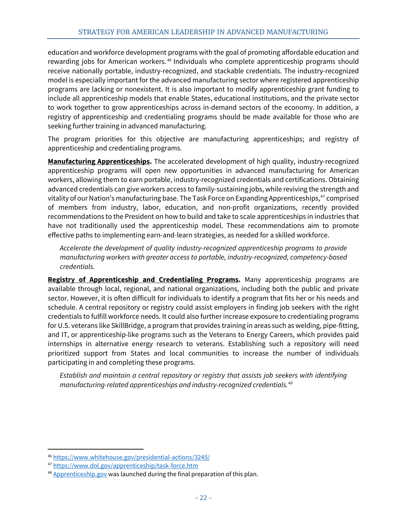education and workforce development programs with the goal of promoting affordable education and rewarding jobs for American workers.<sup>[46](#page-26-0)</sup> Individuals who complete apprenticeship programs should receive nationally portable, industry-recognized, and stackable credentials. The industry-recognized model is especially important for the advanced manufacturing sector where registered apprenticeship programs are lacking or nonexistent. It is also important to modify apprenticeship grant funding to include all apprenticeship models that enable States, educational institutions, and the private sector to work together to grow apprenticeships across in-demand sectors of the economy. In addition, a registry of apprenticeship and credentialing programs should be made available for those who are seeking further training in advanced manufacturing.

The program priorities for this objective are manufacturing apprenticeships; and registry of apprenticeship and credentialing programs.

**Manufacturing Apprenticeships.** The accelerated development of high quality, industry-recognized apprenticeship programs will open new opportunities in advanced manufacturing for American workers, allowing them to earn portable, industry-recognized credentials and certifications. Obtaining advanced credentials can give workers access to family-sustaining jobs, while reviving the strength and vitality of our Nation's manufacturing base. The Task Force on Expanding Apprenticeships, $^{47}$  $^{47}$  $^{47}$  comprised of members from industry, labor, education, and non-profit organizations, recently provided recommendations to the President on how to build and take to scale apprenticeships in industries that have not traditionally used the apprenticeship model. These recommendations aim to promote effective paths to implementing earn-and-learn strategies, as needed for a skilled workforce.

*Accelerate the development of quality industry-recognized apprenticeship programs to provide manufacturing workers with greater access to portable, industry-recognized, competency-based credentials.*

**Registry of Apprenticeship and Credentialing Programs.** Many apprenticeship programs are available through local, regional, and national organizations, including both the public and private sector. However, it is often difficult for individuals to identify a program that fits her or his needs and schedule. A central repository or registry could assist employers in finding job seekers with the right credentials to fulfill workforce needs. It could also further increase exposure to credentialing programs for U.S. veterans like SkillBridge, a program that provides training in areas such as welding, pipe-fitting, and IT, or apprenticeship-like programs such as the Veterans to Energy Careers, which provides paid internships in alternative energy research to veterans. Establishing such a repository will need prioritized support from States and local communities to increase the number of individuals participating in and completing these programs.

*Establish and maintain a central repository or registry that assists job seekers with identifying manufacturing-related apprenticeships and industry-recognized credentials.[48](#page-26-2)*

<span id="page-26-0"></span> <sup>46</sup> <https://www.whitehouse.gov/presidential-actions/3245/>

<span id="page-26-1"></span><sup>47</sup> <https://www.dol.gov/apprenticeship/task-force.htm>

<span id="page-26-2"></span><sup>&</sup>lt;sup>48</sup> [Apprenticeship.gov](https://www.apprenticeship.gov/) was launched during the final preparation of this plan.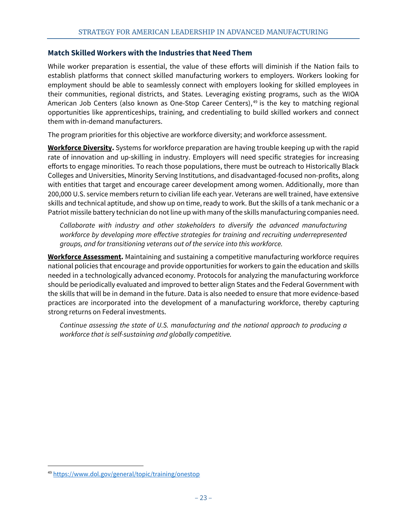#### <span id="page-27-0"></span>**Match Skilled Workers with the Industries that Need Them**

While worker preparation is essential, the value of these efforts will diminish if the Nation fails to establish platforms that connect skilled manufacturing workers to employers. Workers looking for employment should be able to seamlessly connect with employers looking for skilled employees in their communities, regional districts, and States. Leveraging existing programs, such as the WIOA American Job Centers (also known as One-Stop Career Centers),  $49$  is the key to matching regional opportunities like apprenticeships, training, and credentialing to build skilled workers and connect them with in-demand manufacturers.

The program priorities for this objective are workforce diversity; and workforce assessment.

**Workforce Diversity.** Systems for workforce preparation are having trouble keeping up with the rapid rate of innovation and up-skilling in industry. Employers will need specific strategies for increasing efforts to engage minorities. To reach those populations, there must be outreach to Historically Black Colleges and Universities, Minority Serving Institutions, and disadvantaged-focused non-profits, along with entities that target and encourage career development among women. Additionally, more than 200,000 U.S. service members return to civilian life each year. Veterans are well trained, have extensive skills and technical aptitude, and show up on time, ready to work. But the skills of a tank mechanic or a Patriot missile battery technician do not line up with many of the skills manufacturing companies need.

*Collaborate with industry and other stakeholders to diversify the advanced manufacturing workforce by developing more effective strategies for training and recruiting underrepresented groups, and for transitioning veterans out of the service into this workforce.*

**Workforce Assessment.** Maintaining and sustaining a competitive manufacturing workforce requires national policies that encourage and provide opportunities for workers to gain the education and skills needed in a technologically advanced economy. Protocols for analyzing the manufacturing workforce should be periodically evaluated and improved to better align States and the Federal Government with the skills that will be in demand in the future. Data is also needed to ensure that more evidence-based practices are incorporated into the development of a manufacturing workforce, thereby capturing strong returns on Federal investments.

*Continue assessing the state of U.S. manufacturing and the national approach to producing a workforce that is self-sustaining and globally competitive.*

<span id="page-27-1"></span> <sup>49</sup> <https://www.dol.gov/general/topic/training/onestop>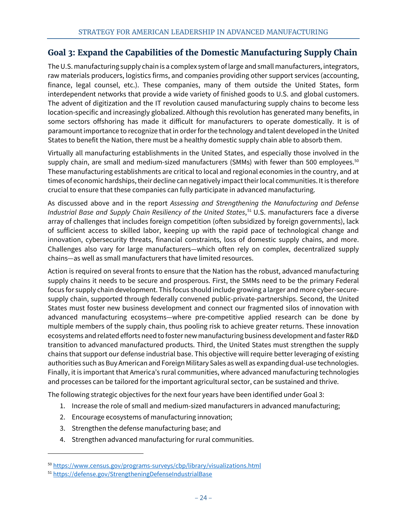# <span id="page-28-0"></span>**Goal 3: Expand the Capabilities of the Domestic Manufacturing Supply Chain**

TheU.S. manufacturing supply chain is a complex system of large and small manufacturers, integrators, raw materials producers, logistics firms, and companies providing other support services (accounting, finance, legal counsel, etc.). These companies, many of them outside the United States, form interdependent networks that provide a wide variety of finished goods to U.S. and global customers. The advent of digitization and the IT revolution caused manufacturing supply chains to become less location-specific and increasingly globalized. Although this revolution has generated many benefits, in some sectors offshoring has made it difficult for manufacturers to operate domestically. It is of paramount importance to recognize that in order for the technology and talent developed in the United States to benefit the Nation, there must be a healthy domestic supply chain able to absorb them.

Virtually all manufacturing establishments in the United States, and especially those involved in the supply chain, are small and medium-sized manufacturers (SMMs) with fewer than [50](#page-28-1)0 employees.<sup>50</sup> These manufacturing establishments are critical to local and regional economies in the country, and at times of economic hardships, their decline can negatively impact their local communities. It is therefore crucial to ensure that these companies can fully participate in advanced manufacturing.

As discussed above and in the report *Assessing and Strengthening the Manufacturing and Defense Industrial Base and Supply Chain Resiliency of the United States*, [51](#page-28-2) U.S. manufacturers face a diverse array of challenges that includes foreign competition (often subsidized by foreign governments), lack of sufficient access to skilled labor, keeping up with the rapid pace of technological change and innovation, cybersecurity threats, financial constraints, loss of domestic supply chains, and more. Challenges also vary for large manufacturers—which often rely on complex, decentralized supply chains—as well as small manufacturers that have limited resources.

Action is required on several fronts to ensure that the Nation has the robust, advanced manufacturing supply chains it needs to be secure and prosperous. First, the SMMs need to be the primary Federal focus for supply chain development. This focus should include growing a larger and more cyber-securesupply chain, supported through federally convened public-private-partnerships. Second, the United States must foster new business development and connect our fragmented silos of innovation with advanced manufacturing ecosystems—where pre-competitive applied research can be done by multiple members of the supply chain, thus pooling risk to achieve greater returns. These innovation ecosystems and related efforts need to foster new manufacturing business development and faster R&D transition to advanced manufactured products. Third, the United States must strengthen the supply chains that support our defense industrial base. This objective will require better leveraging of existing authorities such as Buy American and Foreign Military Sales as well as expanding dual-use technologies. Finally, it is important that America's rural communities, where advanced manufacturing technologies and processes can be tailored for the important agricultural sector, can be sustained and thrive.

The following strategic objectives for the next four years have been identified under Goal 3:

- 1. Increase the role of small and medium-sized manufacturers in advanced manufacturing;
- 2. Encourage ecosystems of manufacturing innovation;
- 3. Strengthen the defense manufacturing base; and
- 4. Strengthen advanced manufacturing for rural communities.

<span id="page-28-1"></span><sup>50</sup> <https://www.census.gov/programs-surveys/cbp/library/visualizations.html>

<span id="page-28-2"></span><sup>51</sup> <https://defense.gov/StrengtheningDefenseIndustrialBase>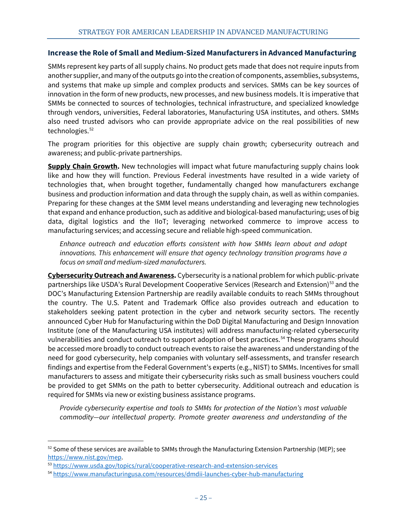#### **Increase the Role of Small and Medium-Sized Manufacturers in Advanced Manufacturing**

SMMs represent key parts of all supply chains. No product gets made that does not require inputs from another supplier, and many of the outputs go into the creation of components, assemblies, subsystems, and systems that make up simple and complex products and services. SMMs can be key sources of innovation in the form of new products, new processes, and new business models. It is imperative that SMMs be connected to sources of technologies, technical infrastructure, and specialized knowledge through vendors, universities, Federal laboratories, Manufacturing USA institutes, and others. SMMs also need trusted advisors who can provide appropriate advice on the real possibilities of new technologies. [52](#page-29-0)

The program priorities for this objective are supply chain growth; cybersecurity outreach and awareness; and public-private partnerships.

**Supply Chain Growth.** New technologies will impact what future manufacturing supply chains look like and how they will function. Previous Federal investments have resulted in a wide variety of technologies that, when brought together, fundamentally changed how manufacturers exchange business and production information and data through the supply chain, as well as within companies. Preparing for these changes at the SMM level means understanding and leveraging new technologies that expand and enhance production, such as additive and biological-based manufacturing; uses of big data, digital logistics and the IIoT; leveraging networked commerce to improve access to manufacturing services; and accessing secure and reliable high-speed communication.

*Enhance outreach and education efforts consistent with how SMMs learn about and adopt innovations. This enhancement will ensure that agency technology transition programs have a focus on small and medium-sized manufacturers.*

**Cybersecurity Outreach and Awareness.** Cybersecurity is a national problem for which public-private partnerships like USDA's Rural Development Cooperative Services (Research and Extension)<sup>[53](#page-29-1)</sup> and the DOC's Manufacturing Extension Partnership are readily available conduits to reach SMMs throughout the country. The U.S. Patent and Trademark Office also provides outreach and education to stakeholders seeking patent protection in the cyber and network security sectors. The recently announced Cyber Hub for Manufacturing within the DoD Digital Manufacturing and Design Innovation Institute (one of the Manufacturing USA institutes) will address manufacturing-related cybersecurity vulnerabilities and conduct outreach to support adoption of best practices.<sup>[54](#page-29-2)</sup> These programs should be accessed more broadly to conduct outreach events to raise the awareness and understanding of the need for good cybersecurity, help companies with voluntary self-assessments, and transfer research findings and expertise from the Federal Government's experts (e.g., NIST) to SMMs. Incentives for small manufacturers to assess and mitigate their cybersecurity risks such as small business vouchers could be provided to get SMMs on the path to better cybersecurity. Additional outreach and education is required for SMMs via new or existing business assistance programs.

*Provide cybersecurity expertise and tools to SMMs for protection of the Nation's most valuable commodity—our intellectual property. Promote greater awareness and understanding of the*

<span id="page-29-0"></span> $52$  Some of these services are available to SMMs through the Manufacturing Extension Partnership (MEP); see [https://www.nist.gov/mep.](https://www.nist.gov/mep)

<span id="page-29-1"></span><sup>53</sup> <https://www.usda.gov/topics/rural/cooperative-research-and-extension-services>

<span id="page-29-2"></span><sup>54</sup> <https://www.manufacturingusa.com/resources/dmdii-launches-cyber-hub-manufacturing>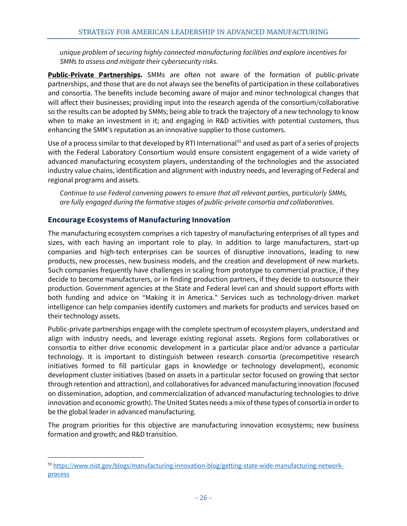<span id="page-30-0"></span>*unique problem of securing highly connected manufacturing facilities and explore incentives for SMMs to assess and mitigate their cybersecurity risks.*

**Public-Private Partnerships.** SMMs are often not aware of the formation of public-private partnerships, and those that are do not always see the benefits of participation in these collaboratives and consortia. The benefits include becoming aware of major and minor technological changes that will affect their businesses; providing input into the research agenda of the consortium/collaborative so the results can be adopted by SMMs; being able to track the trajectory of a new technology to know when to make an investment in it; and engaging in R&D activities with potential customers, thus enhancing the SMM's reputation as an innovative supplier to those customers.

Use of a process similar to that developed by RTI International<sup>[55](#page-30-2)</sup> and used as part of a series of projects with the Federal Laboratory Consortium would ensure consistent engagement of a wide variety of advanced manufacturing ecosystem players, understanding of the technologies and the associated industry value chains, identification and alignment with industry needs, and leveraging of Federal and regional programs and assets.

*Continue to use Federal convening powers to ensure that all relevant parties, particularly SMMs, are fully engaged during the formative stages of public-private consortia and collaboratives.*

#### <span id="page-30-1"></span>**Encourage Ecosystems of Manufacturing Innovation**

The manufacturing ecosystem comprises a rich tapestry of manufacturing enterprises of all types and sizes, with each having an important role to play. In addition to large manufacturers, start-up companies and high-tech enterprises can be sources of disruptive innovations, leading to new products, new processes, new business models, and the creation and development of new markets. Such companies frequently have challenges in scaling from prototype to commercial practice, if they decide to become manufacturers, or in finding production partners, if they decide to outsource their production. Government agencies at the State and Federal level can and should support efforts with both funding and advice on "Making it in America." Services such as technology-driven market intelligence can help companies identify customers and markets for products and services based on their technology assets.

Public-private partnerships engage with the complete spectrum of ecosystem players, understand and align with industry needs, and leverage existing regional assets. Regions form collaboratives or consortia to either drive economic development in a particular place and/or advance a particular technology. It is important to distinguish between research consortia (precompetitive research initiatives formed to fill particular gaps in knowledge or technology development), economic development cluster initiatives (based on assets in a particular sector focused on growing that sector through retention and attraction), and collaboratives for advanced manufacturing innovation (focused on dissemination, adoption, and commercialization of advanced manufacturing technologies to drive innovation and economic growth). The United States needs a mix of these types of consortia in order to be the global leader in advanced manufacturing.

The program priorities for this objective are manufacturing innovation ecosystems; new business formation and growth; and R&D transition.

<span id="page-30-2"></span> <sup>55</sup> [https://www.nist.gov/blogs/manufacturing-innovation-blog/getting-state-wide-manufacturing-network](https://www.nist.gov/blogs/manufacturing-innovation-blog/getting-state-wide-manufacturing-network-process)[process](https://www.nist.gov/blogs/manufacturing-innovation-blog/getting-state-wide-manufacturing-network-process)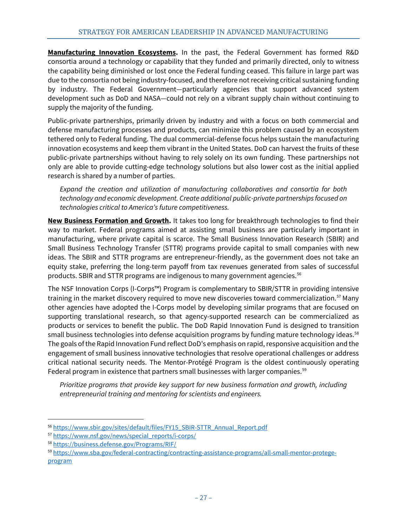**Manufacturing Innovation Ecosystems.** In the past, the Federal Government has formed R&D consortia around a technology or capability that they funded and primarily directed, only to witness the capability being diminished or lost once the Federal funding ceased. This failure in large part was due to the consortia not being industry-focused, and therefore not receiving critical sustaining funding by industry. The Federal Government—particularly agencies that support advanced system development such as DoD and NASA—could not rely on a vibrant supply chain without continuing to supply the majority of the funding.

Public-private partnerships, primarily driven by industry and with a focus on both commercial and defense manufacturing processes and products, can minimize this problem caused by an ecosystem tethered only to Federal funding. The dual commercial-defense focus helps sustain the manufacturing innovation ecosystems and keep them vibrant in the United States. DoD can harvest the fruits of these public-private partnerships without having to rely solely on its own funding. These partnerships not only are able to provide cutting-edge technology solutions but also lower cost as the initial applied research is shared by a number of parties.

*Expand the creation and utilization of manufacturing collaboratives and consortia for both technology and economic development. Create additional public-private partnerships focused on technologies critical to America's future competitiveness.*

**New Business Formation and Growth.** It takes too long for breakthrough technologies to find their way to market. Federal programs aimed at assisting small business are particularly important in manufacturing, where private capital is scarce. The Small Business Innovation Research (SBIR) and Small Business Technology Transfer (STTR) programs provide capital to small companies with new ideas. The SBIR and STTR programs are entrepreneur-friendly, as the government does not take an equity stake, preferring the long-term payoff from tax revenues generated from sales of successful products. SBIR and STTR programs are indigenous to many government agencies.[56](#page-31-0)

The NSF Innovation Corps (I-Corps™) Program is complementary to SBIR/STTR in providing intensive training in the market discovery required to move new discoveries toward commercialization.<sup>[57](#page-31-1)</sup> Many other agencies have adopted the I-Corps model by developing similar programs that are focused on supporting translational research, so that agency-supported research can be commercialized as products or services to benefit the public. The DoD Rapid Innovation Fund is designed to transition small business technologies into defense acquisition programs by funding mature technology ideas.<sup>[58](#page-31-2)</sup> The goals of the Rapid Innovation Fund reflect DoD's emphasis on rapid, responsive acquisition and the engagement of small business innovative technologies that resolve operational challenges or address critical national security needs. The Mentor-Protégé Program is the oldest continuously operating Federal program in existence that partners small businesses with larger companies.<sup>[59](#page-31-3)</sup>

*Prioritize programs that provide key support for new business formation and growth, including entrepreneurial training and mentoring for scientists and engineers.*

<span id="page-31-0"></span> <sup>56</sup> [https://www.sbir.gov/sites/default/files/FY15\\_SBIR-STTR\\_Annual\\_Report.pdf](https://www.sbir.gov/sites/default/files/FY15_SBIR-STTR_Annual_Report.pdf)

<span id="page-31-1"></span><sup>57</sup> [https://www.nsf.gov/news/special\\_reports/i-corps/](https://www.nsf.gov/news/special_reports/i-corps/)

<span id="page-31-2"></span><sup>58</sup> <https://business.defense.gov/Programs/RIF/>

<span id="page-31-3"></span><sup>59</sup> [https://www.sba.gov/federal-contracting/contracting-assistance-programs/all-small-mentor-protege](https://www.sba.gov/federal-contracting/contracting-assistance-programs/all-small-mentor-protege-program)[program](https://www.sba.gov/federal-contracting/contracting-assistance-programs/all-small-mentor-protege-program)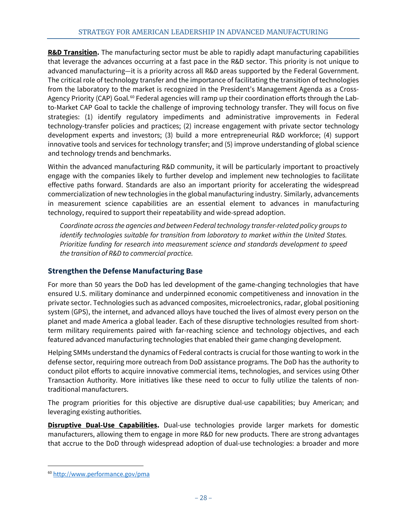**R&D Transition.** The manufacturing sector must be able to rapidly adapt manufacturing capabilities that leverage the advances occurring at a fast pace in the R&D sector. This priority is not unique to advanced manufacturing—it is a priority across all R&D areas supported by the Federal Government. The critical role of technology transfer and the importance of facilitating the transition of technologies from the laboratory to the market is recognized in the President's Management Agenda as a Cross-Agency Priority (CAP) Goal.<sup>[60](#page-32-1)</sup> Federal agencies will ramp up their coordination efforts through the Labto-Market CAP Goal to tackle the challenge of improving technology transfer. They will focus on five strategies: (1) identify regulatory impediments and administrative improvements in Federal technology-transfer policies and practices; (2) increase engagement with private sector technology development experts and investors; (3) build a more entrepreneurial R&D workforce; (4) support innovative tools and services for technology transfer; and (5) improve understanding of global science and technology trends and benchmarks.

Within the advanced manufacturing R&D community, it will be particularly important to proactively engage with the companies likely to further develop and implement new technologies to facilitate effective paths forward. Standards are also an important priority for accelerating the widespread commercialization of new technologies in the global manufacturing industry. Similarly, advancements in measurement science capabilities are an essential element to advances in manufacturing technology, required to support their repeatability and wide-spread adoption.

*Coordinate across the agencies and between Federal technology transfer-related policy groups to identify technologies suitable for transition from laboratory to market within the United States. Prioritize funding for research into measurement science and standards development to speed the transition of R&D to commercial practice.*

## <span id="page-32-0"></span>**Strengthen the Defense Manufacturing Base**

For more than 50 years the DoD has led development of the game-changing technologies that have ensured U.S. military dominance and underpinned economic competitiveness and innovation in the private sector. Technologies such as advanced composites, microelectronics, radar, global positioning system (GPS), the internet, and advanced alloys have touched the lives of almost every person on the planet and made America a global leader. Each of these disruptive technologies resulted from shortterm military requirements paired with far-reaching science and technology objectives, and each featured advanced manufacturing technologies that enabled their game changing development.

Helping SMMs understand the dynamics of Federal contracts is crucial for those wanting to work in the defense sector, requiring more outreach from DoD assistance programs. The DoD has the authority to conduct pilot efforts to acquire innovative commercial items, technologies, and services using Other Transaction Authority. More initiatives like these need to occur to fully utilize the talents of nontraditional manufacturers.

The program priorities for this objective are disruptive dual-use capabilities; buy American; and leveraging existing authorities.

**Disruptive Dual-Use Capabilities.** Dual-use technologies provide larger markets for domestic manufacturers, allowing them to engage in more R&D for new products. There are strong advantages that accrue to the DoD through widespread adoption of dual-use technologies: a broader and more

<span id="page-32-1"></span> <sup>60</sup> <http://www.performance.gov/pma>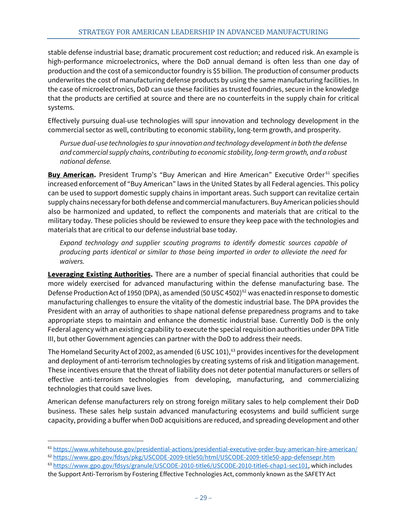stable defense industrial base; dramatic procurement cost reduction; and reduced risk. An example is high-performance microelectronics, where the DoD annual demand is often less than one day of production and the cost of a semiconductor foundry is \$5 billion. The production of consumer products underwrites the cost of manufacturing defense products by using the same manufacturing facilities. In the case of microelectronics, DoD can use these facilities as trusted foundries, secure in the knowledge that the products are certified at source and there are no counterfeits in the supply chain for critical systems.

Effectively pursuing dual-use technologies will spur innovation and technology development in the commercial sector as well, contributing to economic stability, long-term growth, and prosperity.

*Pursue dual-use technologies to spurinnovation and technology development in both the defense and commercial supply chains, contributing to economic stability, long-termgrowth, and a robust national defense.*

Buy American. President Trump's "Buy American and Hire American" Executive Order<sup>[61](#page-33-0)</sup> specifies increased enforcement of "Buy American" laws in the United States by all Federal agencies. This policy can be used to support domestic supply chains in important areas. Such support can revitalize certain supply chains necessary for both defense and commercial manufacturers. Buy American policies should also be harmonized and updated, to reflect the components and materials that are critical to the military today. These policies should be reviewed to ensure they keep pace with the technologies and materials that are critical to our defense industrial base today.

*Expand technology and supplier scouting programs to identify domestic sources capable of producing parts identical or similar to those being imported in order to alleviate the need for waivers.*

**Leveraging Existing Authorities.** There are a number of special financial authorities that could be more widely exercised for advanced manufacturing within the defense manufacturing base. The Defense Production Act of 1950 (DPA), as amended (50 USC 4502)<sup>[62](#page-33-1)</sup> was enacted in response to domestic manufacturing challenges to ensure the vitality of the domestic industrial base. The DPA provides the President with an array of authorities to shape national defense preparedness programs and to take appropriate steps to maintain and enhance the domestic industrial base. Currently DoD is the only Federal agency with an existing capability to execute the special requisition authorities under DPA Title III, but other Government agencies can partner with the DoD to address their needs.

The Homeland Security Act of 2002, as amended (6 USC 101),  $63$  provides incentives for the development and deployment of anti-terrorism technologies by creating systems of risk and litigation management. These incentives ensure that the threat of liability does not deter potential manufacturers or sellers of effective anti-terrorism technologies from developing, manufacturing, and commercializing technologies that could save lives.

American defense manufacturers rely on strong foreign military sales to help complement their DoD business. These sales help sustain advanced manufacturing ecosystems and build sufficient surge capacity, providing a buffer when DoD acquisitions are reduced, and spreading development and other

<span id="page-33-0"></span> <sup>61</sup> <https://www.whitehouse.gov/presidential-actions/presidential-executive-order-buy-american-hire-american/>

<span id="page-33-1"></span><sup>62</sup> <https://www.gpo.gov/fdsys/pkg/USCODE-2009-title50/html/USCODE-2009-title50-app-defensepr.htm>

<span id="page-33-2"></span><sup>&</sup>lt;sup>63</sup> [https://www.gpo.gov/fdsys/granule/USCODE-2010-title6/USCODE-2010-title6-chap1-sec101,](https://www.gpo.gov/fdsys/granule/USCODE-2010-title6/USCODE-2010-title6-chap1-sec101) which includes the Support Anti-Terrorism by Fostering Effective Technologies Act, commonly known as the SAFETY Act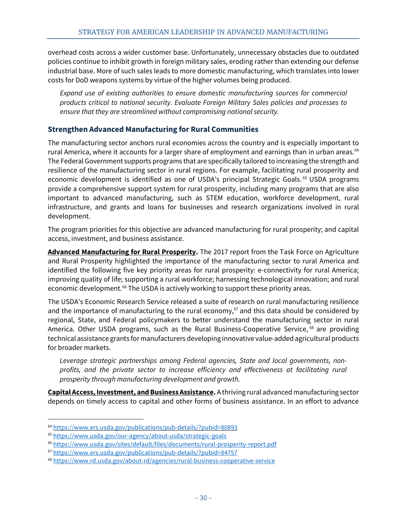overhead costs across a wider customer base. Unfortunately, unnecessary obstacles due to outdated policies continue to inhibit growth in foreign military sales, eroding rather than extending our defense industrial base. More of such sales leads to more domestic manufacturing, which translates into lower costs for DoD weapons systems by virtue of the higher volumes being produced.

*Expand use of existing authorities to ensure domestic manufacturing sources for commercial products critical to national security. Evaluate Foreign Military Sales policies and processes to ensure that they are streamlined without compromising national security.*

#### <span id="page-34-0"></span>**Strengthen Advanced Manufacturing for Rural Communities**

The manufacturing sector anchors rural economies across the country and is especially important to rural America, where it accounts for a larger share of employment and earnings than in urban areas.<sup>[64](#page-34-1)</sup> The Federal Government supports programs that are specifically tailored to increasing the strength and resilience of the manufacturing sector in rural regions. For example, facilitating rural prosperity and economic development is identified as one of USDA's principal Strategic Goals.<sup>[65](#page-34-2)</sup> USDA programs provide a comprehensive support system for rural prosperity, including many programs that are also important to advanced manufacturing, such as STEM education, workforce development, rural infrastructure, and grants and loans for businesses and research organizations involved in rural development.

The program priorities for this objective are advanced manufacturing for rural prosperity; and capital access, investment, and business assistance.

**Advanced Manufacturing for Rural Prosperity.** The 2017 report from the Task Force on Agriculture and Rural Prosperity highlighted the importance of the manufacturing sector to rural America and identified the following five key priority areas for rural prosperity: e-connectivity for rural America; improving quality of life; supporting a rural workforce; harnessing technological innovation; and rural economic development.<sup>[66](#page-34-3)</sup> The USDA is actively working to support these priority areas.

The USDA's Economic Research Service released a suite of research on rural manufacturing resilience and the importance of manufacturing to the rural economy,<sup>[67](#page-34-4)</sup> and this data should be considered by regional, State, and Federal policymakers to better understand the manufacturing sector in rural America. Other USDA programs, such as the Rural Business-Cooperative Service,  $^{68}$  $^{68}$  $^{68}$  are providing technical assistance grants for manufacturers developing innovative value-added agricultural products for broader markets.

*Leverage strategic partnerships among Federal agencies, State and local governments, nonprofits, and the private sector to increase efficiency and effectiveness at facilitating rural prosperity through manufacturing development and growth.*

**Capital Access, Investment, andBusiness Assistance.** A thriving rural advanced manufacturing sector depends on timely access to capital and other forms of business assistance. In an effort to advance

<span id="page-34-1"></span> <sup>64</sup> <https://www.ers.usda.gov/publications/pub-details/?pubid=80893>

<span id="page-34-2"></span><sup>65</sup> <https://www.usda.gov/our-agency/about-usda/strategic-goals>

<span id="page-34-3"></span><sup>66</sup> <https://www.usda.gov/sites/default/files/documents/rural-prosperity-report.pdf>

<span id="page-34-4"></span><sup>67</sup> <https://www.ers.usda.gov/publications/pub-details/?pubid=84757>

<span id="page-34-5"></span><sup>68</sup> <https://www.rd.usda.gov/about-rd/agencies/rural-business-cooperative-service>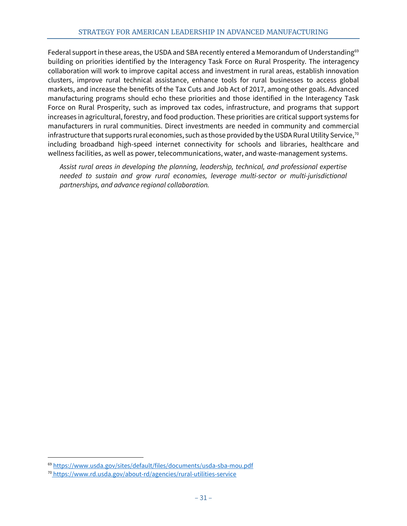Federal support in these areas, the USDA and SBA recently entered a Memorandum of Understanding<sup>[69](#page-35-0)</sup> building on priorities identified by the Interagency Task Force on Rural Prosperity. The interagency collaboration will work to improve capital access and investment in rural areas, establish innovation clusters, improve rural technical assistance, enhance tools for rural businesses to access global markets, and increase the benefits of the Tax Cuts and Job Act of 2017, among other goals. Advanced manufacturing programs should echo these priorities and those identified in the Interagency Task Force on Rural Prosperity, such as improved tax codes, infrastructure, and programs that support increases in agricultural, forestry, and food production. These priorities are critical support systems for manufacturers in rural communities. Direct investments are needed in community and commercial infrastructure that supports rural economies, such as those provided by the USDA Rural Utility Service,  $^{\rm 70}$  $^{\rm 70}$  $^{\rm 70}$ including broadband high-speed internet connectivity for schools and libraries, healthcare and wellness facilities, as well as power, telecommunications, water, and waste-management systems.

*Assist rural areas in developing the planning, leadership, technical, and professional expertise needed to sustain and grow rural economies, leverage multi-sector or multi-jurisdictional partnerships, and advance regional collaboration.*

<span id="page-35-0"></span> <sup>69</sup> <https://www.usda.gov/sites/default/files/documents/usda-sba-mou.pdf>

<span id="page-35-1"></span><sup>70</sup> <https://www.rd.usda.gov/about-rd/agencies/rural-utilities-service>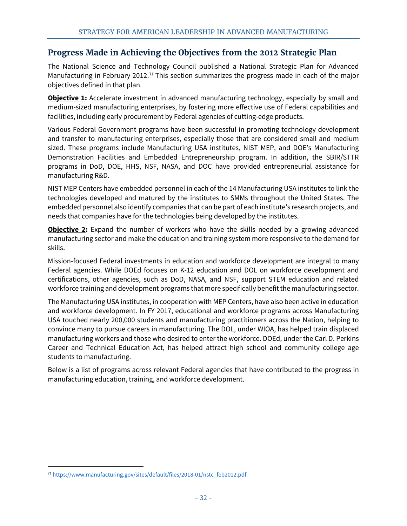# <span id="page-36-0"></span>**Progress Made in Achieving the Objectives from the 2012 Strategic Plan**

The National Science and Technology Council published a National Strategic Plan for Advanced Manufacturing in February 2012.<sup>[71](#page-36-1)</sup> This section summarizes the progress made in each of the major objectives defined in that plan.

**Objective 1:** Accelerate investment in advanced manufacturing technology, especially by small and medium-sized manufacturing enterprises, by fostering more effective use of Federal capabilities and facilities, including early procurement by Federal agencies of cutting-edge products.

Various Federal Government programs have been successful in promoting technology development and transfer to manufacturing enterprises, especially those that are considered small and medium sized. These programs include Manufacturing USA institutes, NIST MEP, and DOE's Manufacturing Demonstration Facilities and Embedded Entrepreneurship program. In addition, the SBIR/STTR programs in DoD, DOE, HHS, NSF, NASA, and DOC have provided entrepreneurial assistance for manufacturing R&D.

NIST MEP Centers have embedded personnel in each of the 14 Manufacturing USA institutes to link the technologies developed and matured by the institutes to SMMs throughout the United States. The embedded personnel also identify companies that can be part of each institute's research projects, and needs that companies have for the technologies being developed by the institutes.

**Objective 2:** Expand the number of workers who have the skills needed by a growing advanced manufacturing sector and make the education and training system more responsive to the demand for skills.

Mission-focused Federal investments in education and workforce development are integral to many Federal agencies. While DOEd focuses on K-12 education and DOL on workforce development and certifications, other agencies, such as DoD, NASA, and NSF, support STEM education and related workforce training and development programs that more specifically benefit the manufacturing sector.

The Manufacturing USA institutes, in cooperation with MEP Centers, have also been active in education and workforce development. In FY 2017, educational and workforce programs across Manufacturing USA touched nearly 200,000 students and manufacturing practitioners across the Nation, helping to convince many to pursue careers in manufacturing. The DOL, under WIOA, has helped train displaced manufacturing workers and those who desired to enter the workforce. DOEd, under the Carl D. Perkins Career and Technical Education Act, has helped attract high school and community college age students to manufacturing.

Below is a list of programs across relevant Federal agencies that have contributed to the progress in manufacturing education, training, and workforce development.

<span id="page-36-1"></span> <sup>71</sup> [https://www.manufacturing.gov/sites/default/files/2018-01/nstc\\_feb2012.pdf](https://www.manufacturing.gov/sites/default/files/2018-01/nstc_feb2012.pdf)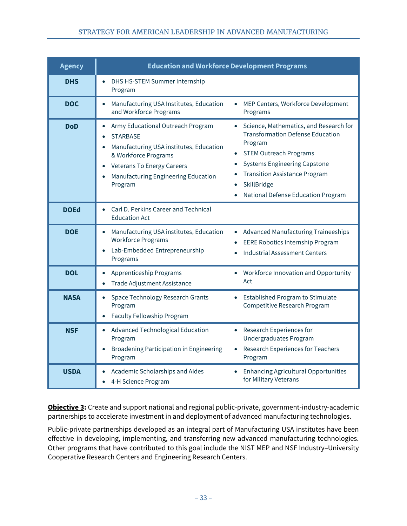#### STRATEGY FOR AMERICAN LEADERSHIP IN ADVANCED MANUFACTURING

| <b>Agency</b> | <b>Education and Workforce Development Programs</b>                                                                                                                                                                                                   |                                                                                                                                                                                                                                                                                |  |  |  |
|---------------|-------------------------------------------------------------------------------------------------------------------------------------------------------------------------------------------------------------------------------------------------------|--------------------------------------------------------------------------------------------------------------------------------------------------------------------------------------------------------------------------------------------------------------------------------|--|--|--|
| <b>DHS</b>    | DHS HS-STEM Summer Internship<br>$\bullet$<br>Program                                                                                                                                                                                                 |                                                                                                                                                                                                                                                                                |  |  |  |
| <b>DOC</b>    | Manufacturing USA Institutes, Education<br>$\bullet$<br>and Workforce Programs                                                                                                                                                                        | MEP Centers, Workforce Development<br>$\bullet$<br>Programs                                                                                                                                                                                                                    |  |  |  |
| <b>DoD</b>    | Army Educational Outreach Program<br>$\bullet$<br><b>STARBASE</b><br>$\bullet$<br>Manufacturing USA institutes, Education<br>& Workforce Programs<br><b>Veterans To Energy Careers</b><br>$\bullet$<br>Manufacturing Engineering Education<br>Program | Science, Mathematics, and Research for<br>$\bullet$<br><b>Transformation Defense Education</b><br>Program<br><b>STEM Outreach Programs</b><br><b>Systems Engineering Capstone</b><br><b>Transition Assistance Program</b><br>SkillBridge<br>National Defense Education Program |  |  |  |
| <b>DOEd</b>   | Carl D. Perkins Career and Technical<br>$\bullet$<br><b>Education Act</b>                                                                                                                                                                             |                                                                                                                                                                                                                                                                                |  |  |  |
| <b>DOE</b>    | Manufacturing USA institutes, Education<br>$\bullet$<br><b>Workforce Programs</b><br>Lab-Embedded Entrepreneurship<br>$\bullet$<br>Programs                                                                                                           | <b>Advanced Manufacturing Traineeships</b><br>$\bullet$<br>EERE Robotics Internship Program<br><b>Industrial Assessment Centers</b>                                                                                                                                            |  |  |  |
| <b>DOL</b>    | <b>Apprenticeship Programs</b><br>$\bullet$<br>Trade Adjustment Assistance                                                                                                                                                                            | Workforce Innovation and Opportunity<br>$\bullet$<br>Act                                                                                                                                                                                                                       |  |  |  |
| <b>NASA</b>   | Space Technology Research Grants<br>$\bullet$<br>Program<br><b>Faculty Fellowship Program</b><br>$\bullet$                                                                                                                                            | <b>Established Program to Stimulate</b><br>$\bullet$<br>Competitive Research Program                                                                                                                                                                                           |  |  |  |
| <b>NSF</b>    | Advanced Technological Education<br>$\bullet$<br>Program<br>Broadening Participation in Engineering<br>Program                                                                                                                                        | Research Experiences for<br>$\bullet$<br><b>Undergraduates Program</b><br>Research Experiences for Teachers<br>Program                                                                                                                                                         |  |  |  |
| <b>USDA</b>   | Academic Scholarships and Aides<br>$\bullet$<br>4-H Science Program                                                                                                                                                                                   | <b>Enhancing Agricultural Opportunities</b><br>for Military Veterans                                                                                                                                                                                                           |  |  |  |

**Objective 3:** Create and support national and regional public-private, government-industry-academic partnerships to accelerate investment in and deployment of advanced manufacturing technologies.

Public-private partnerships developed as an integral part of Manufacturing USA institutes have been effective in developing, implementing, and transferring new advanced manufacturing technologies. Other programs that have contributed to this goal include the NIST MEP and NSF Industry–University Cooperative Research Centers and Engineering Research Centers.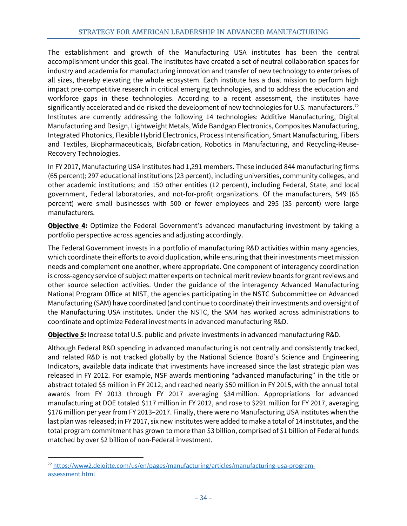The establishment and growth of the Manufacturing USA institutes has been the central accomplishment under this goal. The institutes have created a set of neutral collaboration spaces for industry and academia for manufacturing innovation and transfer of new technology to enterprises of all sizes, thereby elevating the whole ecosystem. Each institute has a dual mission to perform high impact pre-competitive research in critical emerging technologies, and to address the education and workforce gaps in these technologies. According to a recent assessment, the institutes have significantly accelerated and de-risked the development of new technologies for U.S. manufacturers.<sup>[72](#page-38-0)</sup> Institutes are currently addressing the following 14 technologies: Additive Manufacturing, Digital Manufacturing and Design, Lightweight Metals, Wide Bandgap Electronics, Composites Manufacturing, Integrated Photonics, Flexible Hybrid Electronics, Process Intensification, Smart Manufacturing, Fibers and Textiles, Biopharmaceuticals, Biofabrication, Robotics in Manufacturing, and Recycling-Reuse-Recovery Technologies.

In FY 2017, Manufacturing USA institutes had 1,291 members. These included 844 manufacturing firms (65 percent); 297 educational institutions (23 percent), including universities, community colleges, and other academic institutions; and 150 other entities (12 percent), including Federal, State, and local government, Federal laboratories, and not-for-profit organizations. Of the manufacturers, 549 (65 percent) were small businesses with 500 or fewer employees and 295 (35 percent) were large manufacturers.

**Objective 4:** Optimize the Federal Government's advanced manufacturing investment by taking a portfolio perspective across agencies and adjusting accordingly.

The Federal Government invests in a portfolio of manufacturing R&D activities within many agencies, which coordinate their efforts to avoid duplication, while ensuring that their investments meet mission needs and complement one another, where appropriate. One component of interagency coordination is cross-agency service of subject matter experts on technical merit review boards for grant reviews and other source selection activities. Under the guidance of the interagency Advanced Manufacturing National Program Office at NIST, the agencies participating in the NSTC Subcommittee on Advanced Manufacturing (SAM) have coordinated (and continue to coordinate) their investments and oversight of the Manufacturing USA institutes. Under the NSTC, the SAM has worked across administrations to coordinate and optimize Federal investments in advanced manufacturing R&D.

**Objective 5:** Increase total U.S. public and private investments in advanced manufacturing R&D.

Although Federal R&D spending in advanced manufacturing is not centrally and consistently tracked, and related R&D is not tracked globally by the National Science Board's Science and Engineering Indicators, available data indicate that investments have increased since the last strategic plan was released in FY 2012. For example, NSF awards mentioning "advanced manufacturing" in the title or abstract totaled \$5 million in FY 2012, and reached nearly \$50 million in FY 2015, with the annual total awards from FY 2013 through FY 2017 averaging \$34 million. Appropriations for advanced manufacturing at DOE totaled \$117 million in FY 2012, and rose to \$291 million for FY 2017, averaging \$176 million per year from FY 2013–2017. Finally, there were no Manufacturing USA institutes when the last plan was released; in FY 2017, six new institutes were added to make a total of 14 institutes, and the total program commitment has grown to more than \$3 billion, comprised of \$1 billion of Federal funds matched by over \$2 billion of non-Federal investment.

<span id="page-38-0"></span> <sup>72</sup> [https://www2.deloitte.com/us/en/pages/manufacturing/articles/manufacturing-usa-program](https://www2.deloitte.com/us/en/pages/manufacturing/articles/manufacturing-usa-program-assessment.html)[assessment.html](https://www2.deloitte.com/us/en/pages/manufacturing/articles/manufacturing-usa-program-assessment.html)